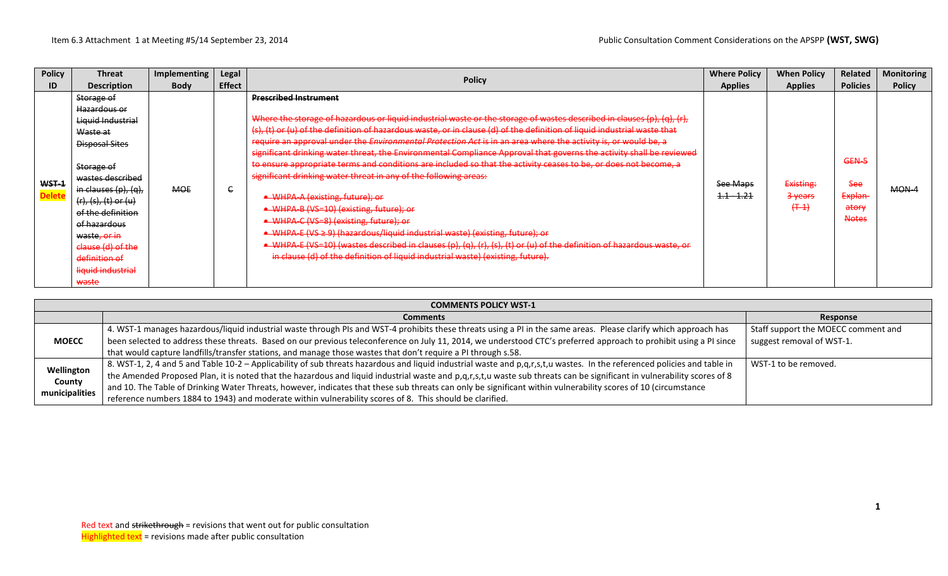| <b>Policy</b>          | <b>Threat</b>                                                                                                                                                                                                                                                                                                                                                               | Implementing | Legal         | <b>Policy</b>                                                                                                                                                                                                                                                                                                                                                                                                                                                                                                                                                                                                                                                                                                                                                                                                                                                                                                                                                                                                                                                                                                                            | <b>Where Policy</b>               | <b>When Policy</b>                           | <b>Related</b>                                   | <b>Monitoring</b> |
|------------------------|-----------------------------------------------------------------------------------------------------------------------------------------------------------------------------------------------------------------------------------------------------------------------------------------------------------------------------------------------------------------------------|--------------|---------------|------------------------------------------------------------------------------------------------------------------------------------------------------------------------------------------------------------------------------------------------------------------------------------------------------------------------------------------------------------------------------------------------------------------------------------------------------------------------------------------------------------------------------------------------------------------------------------------------------------------------------------------------------------------------------------------------------------------------------------------------------------------------------------------------------------------------------------------------------------------------------------------------------------------------------------------------------------------------------------------------------------------------------------------------------------------------------------------------------------------------------------------|-----------------------------------|----------------------------------------------|--------------------------------------------------|-------------------|
| ID                     | <b>Description</b>                                                                                                                                                                                                                                                                                                                                                          | <b>Body</b>  | <b>Effect</b> |                                                                                                                                                                                                                                                                                                                                                                                                                                                                                                                                                                                                                                                                                                                                                                                                                                                                                                                                                                                                                                                                                                                                          | <b>Applies</b>                    | <b>Applies</b>                               | <b>Policies</b>                                  | <b>Policy</b>     |
| WST-1<br><b>Delete</b> | <del>Storage of</del><br><del>Hazardous or</del><br>Liquid Industrial<br><del>Waste at</del><br>Disposal Sites<br><del>Storage of</del><br>wastes described<br>in clauses $(p)$ , $(q)$ ,<br><del>(r), (s), (t) or (u)</del><br>of the definition<br><del>of hazardous</del><br><del>waste, or in</del><br>clause (d) of the<br>definition of<br>liquid industrial<br>waste | <b>MOE</b>   | e             | <b>Prescribed Instrument</b><br>Where the storage of hazardous or liquid industrial waste or the storage of wastes described in clauses (p), (q), (r),<br>(s), (t) or (u) of the definition of hazardous waste, or in clause (d) of the definition of liquid industrial waste that<br>require an approval under the Environmental Protection Act is in an area where the activity is, or would be, a<br>significant drinking water threat, the Environmental Compliance Approval that governs the activity shall be reviewed<br>to ensure appropriate terms and conditions are included so that the activity ceases to be, or does not become, a<br>significant drinking water threat in any of the following areas:<br>• WHPA-A (existing, future); or<br>• WHPA-B (VS=10) (existing, future); or<br>• WHPA-C (VS=8) (existing, future); or<br>• WHPA-E (VS ≥ 9) (hazardous/liquid industrial waste) (existing, future); or<br>• WHPA-E (VS=10) (wastes described in clauses (p), (q), (r), (s), (t) or (u) of the definition of hazardous waste, or<br>in clause (d) of the definition of liquid industrial waste) (existing, future). | See Maps<br><del>1.1 - 1.21</del> | Existing:<br><del>3 years</del><br>$(+ - 1)$ | GEN-5<br>See<br>Explan-<br>atory<br><b>Notes</b> | $MON-4$           |

|                                        | <b>COMMENTS POLICY WST-1</b>                                                                                                                                             |                                     |  |  |  |  |  |  |  |  |
|----------------------------------------|--------------------------------------------------------------------------------------------------------------------------------------------------------------------------|-------------------------------------|--|--|--|--|--|--|--|--|
|                                        | <b>Comments</b>                                                                                                                                                          | Response                            |  |  |  |  |  |  |  |  |
|                                        | 4. WST-1 manages hazardous/liquid industrial waste through PIs and WST-4 prohibits these threats using a PI in the same areas. Please clarify which approach has         | Staff support the MOECC comment and |  |  |  |  |  |  |  |  |
| <b>MOECC</b>                           | been selected to address these threats. Based on our previous teleconference on July 11, 2014, we understood CTC's preferred approach to prohibit using a PI since       | suggest removal of WST-1.           |  |  |  |  |  |  |  |  |
|                                        | that would capture landfills/transfer stations, and manage those wastes that don't require a PI through s.58.                                                            |                                     |  |  |  |  |  |  |  |  |
|                                        | 8. WST-1, 2, 4 and 5 and Table 10-2 – Applicability of sub threats hazardous and liquid industrial waste and p,q,r,s,t,u wastes. In the referenced policies and table in | WST-1 to be removed.                |  |  |  |  |  |  |  |  |
| Wellington<br>County<br>municipalities | the Amended Proposed Plan, it is noted that the hazardous and liquid industrial waste and p,q,r,s,t,u waste sub threats can be significant in vulnerability scores of 8  |                                     |  |  |  |  |  |  |  |  |
|                                        | and 10. The Table of Drinking Water Threats, however, indicates that these sub threats can only be significant within vulnerability scores of 10 (circumstance           |                                     |  |  |  |  |  |  |  |  |
|                                        | reference numbers 1884 to 1943) and moderate within vulnerability scores of 8. This should be clarified.                                                                 |                                     |  |  |  |  |  |  |  |  |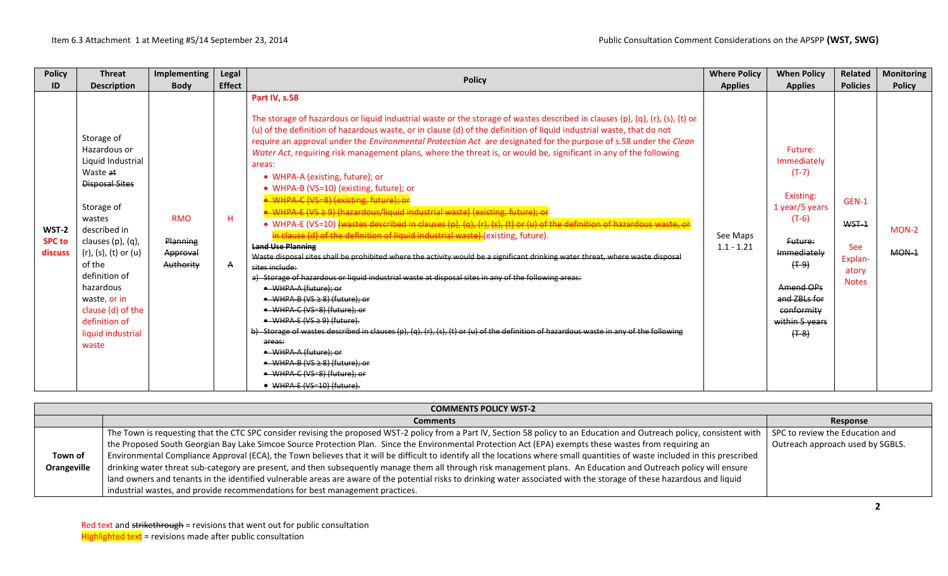| <b>Policy</b>                     | <b>Threat</b>                                                                                                                                                                                                                                                                                         | Implementing                                    | <b>Legal</b>       | <b>Policy</b>                                                                                                                                                                                                                                                                                                                                                                                                                                                                                                                                                                                                                                                                                                                                                                                                                                                                                                                                                                                                                                                                                                                                                                                                                                                                                                                                                                                                                                                                                                                                                                                                                                                                 | <b>Where Policy</b>      | <b>When Policy</b>                                                                                                                                                                           | Related                                                          | <b>Monitoring</b>  |
|-----------------------------------|-------------------------------------------------------------------------------------------------------------------------------------------------------------------------------------------------------------------------------------------------------------------------------------------------------|-------------------------------------------------|--------------------|-------------------------------------------------------------------------------------------------------------------------------------------------------------------------------------------------------------------------------------------------------------------------------------------------------------------------------------------------------------------------------------------------------------------------------------------------------------------------------------------------------------------------------------------------------------------------------------------------------------------------------------------------------------------------------------------------------------------------------------------------------------------------------------------------------------------------------------------------------------------------------------------------------------------------------------------------------------------------------------------------------------------------------------------------------------------------------------------------------------------------------------------------------------------------------------------------------------------------------------------------------------------------------------------------------------------------------------------------------------------------------------------------------------------------------------------------------------------------------------------------------------------------------------------------------------------------------------------------------------------------------------------------------------------------------|--------------------------|----------------------------------------------------------------------------------------------------------------------------------------------------------------------------------------------|------------------------------------------------------------------|--------------------|
| ID                                | <b>Description</b>                                                                                                                                                                                                                                                                                    | <b>Body</b>                                     | <b>Effect</b>      |                                                                                                                                                                                                                                                                                                                                                                                                                                                                                                                                                                                                                                                                                                                                                                                                                                                                                                                                                                                                                                                                                                                                                                                                                                                                                                                                                                                                                                                                                                                                                                                                                                                                               | <b>Applies</b>           | <b>Applies</b>                                                                                                                                                                               | <b>Policies</b>                                                  | <b>Policy</b>      |
| WST-2<br><b>SPC to</b><br>discuss | Storage of<br>Hazardous or<br>Liquid Industrial<br>Waste at<br><b>Disposal Sites</b><br>Storage of<br>wastes<br>described in<br>clauses (p), (q),<br>(r), (s), (t) or (u)<br>of the<br>definition of<br>hazardous<br>waste, or in<br>clause (d) of the<br>definition of<br>liquid industrial<br>waste | <b>RMO</b><br>Planning<br>Approval<br>Authority | H.<br>$\mathsf{A}$ | Part IV, s.58<br>The storage of hazardous or liquid industrial waste or the storage of wastes described in clauses (p), (q), (r), (s), (t) or<br>(u) of the definition of hazardous waste, or in clause (d) of the definition of liquid industrial waste, that do not<br>require an approval under the Environmental Protection Act are designated for the purpose of s.58 under the Clean<br>Water Act, requiring risk management plans, where the threat is, or would be, significant in any of the following<br>areas:<br>• WHPA-A (existing, future); or<br>• WHPA-B (VS=10) (existing, future); or<br>WHPA-C (VS=8) (existing, future); or<br>WHPA-E (VS ≥ 9) (hazardous/liquid industrial waste) (existing, future); or<br>• WHPA-E (VS=10) {wastes described in clauses (p), (q), (r), (s), (t) or (u) of the definition of hazardous waste, or<br>in clause (d) of the definition of liquid industrial waste) (existing, future).<br><b>Land Use Planning</b><br>Waste disposal sites shall be prohibited where the activity would be a significant drinking water threat, where waste disposal<br>sites include:<br>a) Storage of hazardous or liquid industrial waste at disposal sites in any of the following areas:<br>• WHPA-A (future): or<br>$\bullet$ WHPA-B (VS $\geq$ 8) (future); or<br>• WHPA C (VS=8) (future); or<br>$\bullet$ WHPA-E (VS $\geq$ 9) (future).<br>b) Storage of wastes described in clauses (p), (q), (r), (s), (t) or (u) of the definition of hazardous waste in any of the following<br>areas:<br>• WHPA A (future): or<br>$\bullet$ WHPA-B (VS $\geq$ 8) (future); or<br>• WHPA C (VS=8) (future); or<br>• WHPA E (VS=10) (future). | See Maps<br>$1.1 - 1.21$ | Future:<br>Immediately<br>$(T-7)$<br>Existing:<br>1 year/5 years<br>$(T-6)$<br>Future:<br>Immediately<br>$(+ - 9)$<br>Amend OPs<br>and ZBLs for<br>conformity<br>within 5 years<br>$(+ - 8)$ | GEN-1<br>WST-1<br><b>See</b><br>Explan-<br>atory<br><b>Notes</b> | $MON-2$<br>$MON-1$ |

|             | <b>COMMENTS POLICY WST-2</b>                                                                                                                                                                                 |                                  |  |  |  |  |  |  |  |
|-------------|--------------------------------------------------------------------------------------------------------------------------------------------------------------------------------------------------------------|----------------------------------|--|--|--|--|--|--|--|
|             | <b>Comments</b>                                                                                                                                                                                              | Response                         |  |  |  |  |  |  |  |
|             | The Town is requesting that the CTC SPC consider revising the proposed WST-2 policy from a Part IV, Section 58 policy to an Education and Outreach policy, consistent with   SPC to review the Education and |                                  |  |  |  |  |  |  |  |
|             | the Proposed South Georgian Bay Lake Simcoe Source Protection Plan. Since the Environmental Protection Act (EPA) exempts these wastes from requiring an                                                      | Outreach approach used by SGBLS. |  |  |  |  |  |  |  |
| Town of     | Environmental Compliance Approval (ECA), the Town believes that it will be difficult to identify all the locations where small quantities of waste included in this prescribed                               |                                  |  |  |  |  |  |  |  |
| Orangeville | drinking water threat sub-category are present, and then subsequently manage them all through risk management plans. An Education and Outreach policy will ensure                                            |                                  |  |  |  |  |  |  |  |
|             | land owners and tenants in the identified vulnerable areas are aware of the potential risks to drinking water associated with the storage of these hazardous and liquid                                      |                                  |  |  |  |  |  |  |  |
|             | industrial wastes, and provide recommendations for best management practices.                                                                                                                                |                                  |  |  |  |  |  |  |  |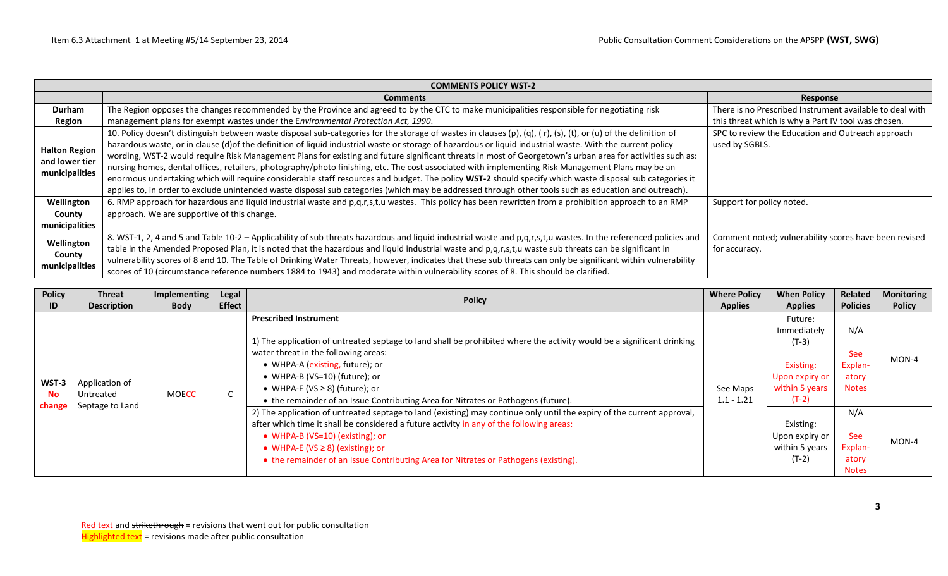|                                                          | <b>COMMENTS POLICY WST-2</b>                                                                                                                                                                                                                                                                                                                                                                                                                                                                                                                                                                                                                                                                                                                                                                                                                                                                                                                                       |                                                                        |  |  |  |  |  |  |  |  |  |
|----------------------------------------------------------|--------------------------------------------------------------------------------------------------------------------------------------------------------------------------------------------------------------------------------------------------------------------------------------------------------------------------------------------------------------------------------------------------------------------------------------------------------------------------------------------------------------------------------------------------------------------------------------------------------------------------------------------------------------------------------------------------------------------------------------------------------------------------------------------------------------------------------------------------------------------------------------------------------------------------------------------------------------------|------------------------------------------------------------------------|--|--|--|--|--|--|--|--|--|
|                                                          | <b>Comments</b>                                                                                                                                                                                                                                                                                                                                                                                                                                                                                                                                                                                                                                                                                                                                                                                                                                                                                                                                                    | <b>Response</b>                                                        |  |  |  |  |  |  |  |  |  |
| <b>Durham</b>                                            | The Region opposes the changes recommended by the Province and agreed to by the CTC to make municipalities responsible for negotiating risk                                                                                                                                                                                                                                                                                                                                                                                                                                                                                                                                                                                                                                                                                                                                                                                                                        | There is no Prescribed Instrument available to deal with               |  |  |  |  |  |  |  |  |  |
| <b>Region</b>                                            | management plans for exempt wastes under the Environmental Protection Act, 1990.                                                                                                                                                                                                                                                                                                                                                                                                                                                                                                                                                                                                                                                                                                                                                                                                                                                                                   | this threat which is why a Part IV tool was chosen.                    |  |  |  |  |  |  |  |  |  |
| <b>Halton Region</b><br>and lower tier<br>municipalities | 10. Policy doesn't distinguish between waste disposal sub-categories for the storage of wastes in clauses (p), (q), (r), (s), (t), or (u) of the definition of<br>hazardous waste, or in clause (d) of the definition of liquid industrial waste or storage of hazardous or liquid industrial waste. With the current policy<br>wording, WST-2 would require Risk Management Plans for existing and future significant threats in most of Georgetown's urban area for activities such as:<br>nursing homes, dental offices, retailers, photography/photo finishing, etc. The cost associated with implementing Risk Management Plans may be an<br>enormous undertaking which will require considerable staff resources and budget. The policy WST-2 should specify which waste disposal sub categories it<br>applies to, in order to exclude unintended waste disposal sub categories (which may be addressed through other tools such as education and outreach). | SPC to review the Education and Outreach approach<br>used by SGBLS.    |  |  |  |  |  |  |  |  |  |
| Wellington                                               | 6. RMP approach for hazardous and liquid industrial waste and p,q,r,s,t,u wastes. This policy has been rewritten from a prohibition approach to an RMP                                                                                                                                                                                                                                                                                                                                                                                                                                                                                                                                                                                                                                                                                                                                                                                                             | Support for policy noted.                                              |  |  |  |  |  |  |  |  |  |
| County                                                   | approach. We are supportive of this change.                                                                                                                                                                                                                                                                                                                                                                                                                                                                                                                                                                                                                                                                                                                                                                                                                                                                                                                        |                                                                        |  |  |  |  |  |  |  |  |  |
| municipalities                                           |                                                                                                                                                                                                                                                                                                                                                                                                                                                                                                                                                                                                                                                                                                                                                                                                                                                                                                                                                                    |                                                                        |  |  |  |  |  |  |  |  |  |
| Wellington<br>County<br>municipalities                   | 8. WST-1, 2, 4 and 5 and Table 10-2 - Applicability of sub threats hazardous and liquid industrial waste and p,q,r,s,t,u wastes. In the referenced policies and<br>table in the Amended Proposed Plan, it is noted that the hazardous and liquid industrial waste and p,q,r,s,t,u waste sub threats can be significant in<br>vulnerability scores of 8 and 10. The Table of Drinking Water Threats, however, indicates that these sub threats can only be significant within vulnerability<br>scores of 10 (circumstance reference numbers 1884 to 1943) and moderate within vulnerability scores of 8. This should be clarified.                                                                                                                                                                                                                                                                                                                                  | Comment noted; vulnerability scores have been revised<br>for accuracy. |  |  |  |  |  |  |  |  |  |

| <b>Policy</b><br>ID. | Threat<br><b>Description</b>                | Implementing<br><b>Body</b> | Legal<br><b>Effect</b>                                                                                                                                                                                                                                                                                                                                                                         | <b>Policy</b>                                                                                                                                                                                                                                                                                                                                                                          | <b>Where Policy</b><br><b>Applies</b>                                                       | <b>When Policy</b><br><b>Applies</b>                   | <b>Related</b><br><b>Policies</b>                     | <b>Monitoring</b><br><b>Policy</b> |
|----------------------|---------------------------------------------|-----------------------------|------------------------------------------------------------------------------------------------------------------------------------------------------------------------------------------------------------------------------------------------------------------------------------------------------------------------------------------------------------------------------------------------|----------------------------------------------------------------------------------------------------------------------------------------------------------------------------------------------------------------------------------------------------------------------------------------------------------------------------------------------------------------------------------------|---------------------------------------------------------------------------------------------|--------------------------------------------------------|-------------------------------------------------------|------------------------------------|
| WST-3<br><b>No</b>   | Application of<br><b>MOECC</b><br>Untreated | U                           | <b>Prescribed Instrument</b><br>1) The application of untreated septage to land shall be prohibited where the activity would be a significant drinking<br>water threat in the following areas:<br>• WHPA-A (existing, future); or<br>• WHPA-B (VS=10) (future); or<br>• WHPA-E (VS $\geq$ 8) (future); or<br>• the remainder of an Issue Contributing Area for Nitrates or Pathogens (future). | See Maps<br>$1.1 - 1.21$                                                                                                                                                                                                                                                                                                                                                               | Future:<br>Immediately<br>$(T-3)$<br>Existing:<br>Upon expiry or<br>within 5 years<br>(T-2) | N/A<br><b>See</b><br>Explan-<br>atory<br><b>Notes</b>  | $MON-4$                                               |                                    |
| change               | Septage to Land                             |                             |                                                                                                                                                                                                                                                                                                                                                                                                | 2) The application of untreated septage to land (existing) may continue only until the expiry of the current approval,<br>after which time it shall be considered a future activity in any of the following areas:<br>• WHPA-B (VS=10) (existing); or<br>• WHPA-E ( $VS \ge 8$ ) (existing); or<br>• the remainder of an Issue Contributing Area for Nitrates or Pathogens (existing). |                                                                                             | Existing:<br>Upon expiry or<br>within 5 years<br>(T-2) | N/A<br><b>See</b><br>Explan-<br>atory<br><b>Notes</b> | $MON-4$                            |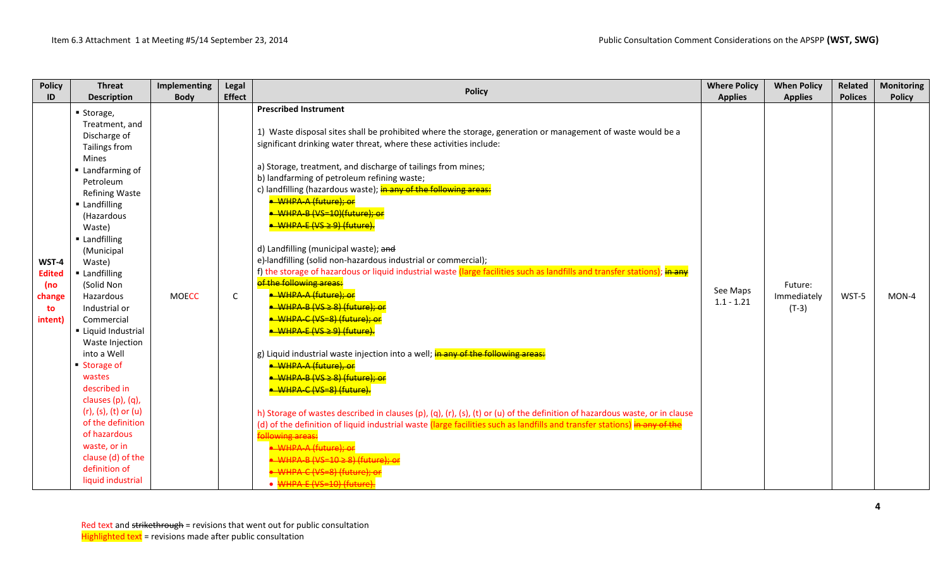| <b>Policy</b>                                            | <b>Threat</b>                                                                                                                                                                                                                                                                                                                                                                                                                                                                                                                                               | Implementing | Legal         |                                                                                                                                                                                                                                                                                                                                                                                                                                                                                                                                                                                                                                                                                                                                                                                                                                                                                                                                                                                                                                                                                                                                                                                                                                                                                                                                                                                                                                                                                                                                        | <b>Where Policy</b>      | <b>When Policy</b>                | Related        | <b>Monitoring</b> |
|----------------------------------------------------------|-------------------------------------------------------------------------------------------------------------------------------------------------------------------------------------------------------------------------------------------------------------------------------------------------------------------------------------------------------------------------------------------------------------------------------------------------------------------------------------------------------------------------------------------------------------|--------------|---------------|----------------------------------------------------------------------------------------------------------------------------------------------------------------------------------------------------------------------------------------------------------------------------------------------------------------------------------------------------------------------------------------------------------------------------------------------------------------------------------------------------------------------------------------------------------------------------------------------------------------------------------------------------------------------------------------------------------------------------------------------------------------------------------------------------------------------------------------------------------------------------------------------------------------------------------------------------------------------------------------------------------------------------------------------------------------------------------------------------------------------------------------------------------------------------------------------------------------------------------------------------------------------------------------------------------------------------------------------------------------------------------------------------------------------------------------------------------------------------------------------------------------------------------------|--------------------------|-----------------------------------|----------------|-------------------|
| ID                                                       | <b>Description</b>                                                                                                                                                                                                                                                                                                                                                                                                                                                                                                                                          | <b>Body</b>  | <b>Effect</b> | <b>Policy</b>                                                                                                                                                                                                                                                                                                                                                                                                                                                                                                                                                                                                                                                                                                                                                                                                                                                                                                                                                                                                                                                                                                                                                                                                                                                                                                                                                                                                                                                                                                                          | <b>Applies</b>           | <b>Applies</b>                    | <b>Polices</b> | <b>Policy</b>     |
| WST-4<br><b>Edited</b><br>(no<br>change<br>to<br>intent) | ■ Storage,<br>Treatment, and<br>Discharge of<br>Tailings from<br>Mines<br>Landfarming of<br>Petroleum<br><b>Refining Waste</b><br><b>Landfilling</b><br>(Hazardous<br>Waste)<br>Landfilling<br>(Municipal<br>Waste)<br>Landfilling<br>(Solid Non<br>Hazardous<br>Industrial or<br>Commercial<br>Liquid Industrial<br>Waste Injection<br>into a Well<br>Storage of<br>wastes<br>described in<br>clauses (p), (q),<br>$(r)$ , (s), (t) or (u)<br>of the definition<br>of hazardous<br>waste, or in<br>clause (d) of the<br>definition of<br>liquid industrial | <b>MOECC</b> | $\mathsf{C}$  | <b>Prescribed Instrument</b><br>1) Waste disposal sites shall be prohibited where the storage, generation or management of waste would be a<br>significant drinking water threat, where these activities include:<br>a) Storage, treatment, and discharge of tailings from mines;<br>b) landfarming of petroleum refining waste;<br>c) landfilling (hazardous waste); in any of the following areas:<br>• WHPA-A (future); or<br><del>• WHPA-B (VS=10)(future): or</del><br><del>• WHPA-E (VS ≥ 9) (future).</del><br>d) Landfilling (municipal waste); and<br>e)-landfilling (solid non-hazardous industrial or commercial);<br>f) the storage of hazardous or liquid industrial waste (large facilities such as landfills and transfer stations); in any<br>of the following areas:<br>· WHPA-A (future); or<br><del>● WHPA-B (VS ≥ 8) (future): or</del><br>· WHPA-C (VS=8) (future); or<br><del>● WHPA-E (VS ≥ 9) (future).</del><br>g) Liquid industrial waste injection into a well; in any of the following areas:<br>· WHPA-A (future), or<br><del>● WHPA-B (VS ≥ 8) (future): or</del><br><del>• WHPA-C (VS=8) (future).</del><br>h) Storage of wastes described in clauses (p), (q), (r), (s), (t) or (u) of the definition of hazardous waste, or in clause<br>(d) of the definition of liquid industrial waste (large facilities such as landfills and transfer stations) in any of the<br>WHPA-A (future): or<br>$IHDA$ <sub>-</sub> R $IVE-10 > R$ ) $If$ uturo): c<br>$UBDA_C(NS-8)$ (future)<br>WHPA-E (VS=10) (future | See Maps<br>$1.1 - 1.21$ | Future:<br>Immediately<br>$(T-3)$ | WST-5          | MON-4             |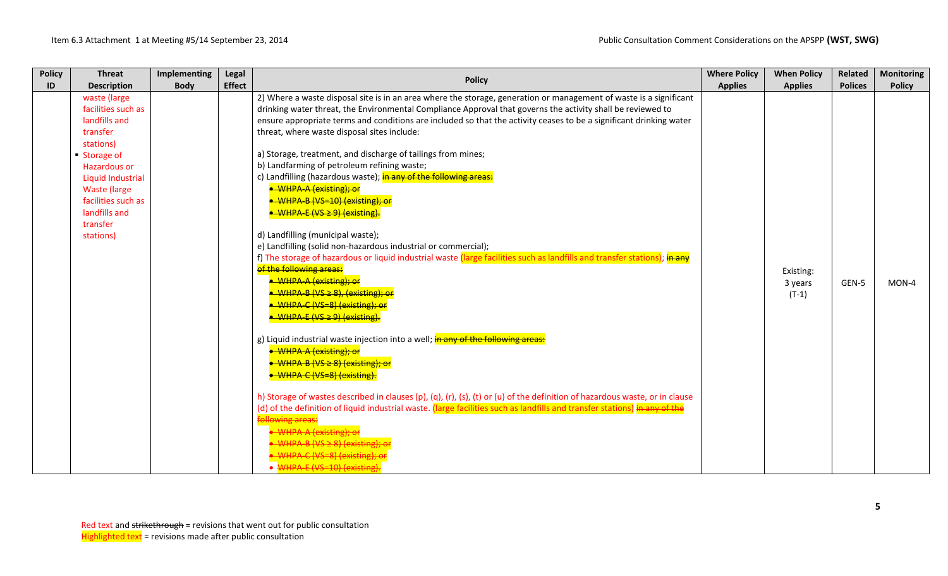| <b>Policy</b><br>ID | <b>Threat</b><br><b>Description</b> | Implementing<br><b>Body</b> | Legal<br><b>Effect</b> | <b>Policy</b>                                                                                                               | <b>Where Policy</b><br><b>Applies</b> | <b>When Policy</b><br><b>Applies</b> | Related<br><b>Polices</b> | <b>Monitoring</b><br><b>Policy</b> |
|---------------------|-------------------------------------|-----------------------------|------------------------|-----------------------------------------------------------------------------------------------------------------------------|---------------------------------------|--------------------------------------|---------------------------|------------------------------------|
|                     | waste (large                        |                             |                        | 2) Where a waste disposal site is in an area where the storage, generation or management of waste is a significant          |                                       |                                      |                           |                                    |
|                     | facilities such as                  |                             |                        | drinking water threat, the Environmental Compliance Approval that governs the activity shall be reviewed to                 |                                       |                                      |                           |                                    |
|                     | landfills and                       |                             |                        | ensure appropriate terms and conditions are included so that the activity ceases to be a significant drinking water         |                                       |                                      |                           |                                    |
|                     | transfer                            |                             |                        | threat, where waste disposal sites include:                                                                                 |                                       |                                      |                           |                                    |
|                     | stations)                           |                             |                        |                                                                                                                             |                                       |                                      |                           |                                    |
|                     | Storage of                          |                             |                        | a) Storage, treatment, and discharge of tailings from mines;                                                                |                                       |                                      |                           |                                    |
|                     | <b>Hazardous or</b>                 |                             |                        | b) Landfarming of petroleum refining waste;                                                                                 |                                       |                                      |                           |                                    |
|                     | <b>Liquid Industrial</b>            |                             |                        | c) Landfilling (hazardous waste); in any of the following areas:                                                            |                                       |                                      |                           |                                    |
|                     | <b>Waste (large)</b>                |                             |                        | • WHPA-A (existing): or                                                                                                     |                                       |                                      |                           |                                    |
|                     | facilities such as                  |                             |                        | • WHPA-B (VS=10) (existing); or                                                                                             |                                       |                                      |                           |                                    |
|                     | landfills and                       |                             |                        | • WHPA-E (VS ≥ 9) (existing).                                                                                               |                                       |                                      |                           |                                    |
|                     | transfer                            |                             |                        |                                                                                                                             |                                       |                                      |                           |                                    |
|                     | stations)                           |                             |                        | d) Landfilling (municipal waste);                                                                                           |                                       |                                      |                           |                                    |
|                     |                                     |                             |                        | e) Landfilling (solid non-hazardous industrial or commercial);                                                              |                                       |                                      |                           |                                    |
|                     |                                     |                             |                        | f) The storage of hazardous or liquid industrial waste (large facilities such as landfills and transfer stations); in any   |                                       |                                      |                           |                                    |
|                     |                                     |                             |                        | of the following areas:                                                                                                     |                                       | Existing:                            |                           |                                    |
|                     |                                     |                             |                        | • WHPA-A (existing): or                                                                                                     |                                       | 3 years                              | GEN-5                     | $MON-4$                            |
|                     |                                     |                             |                        | $\bullet$ WHPA-B (VS $\geq$ 8). (existing): or                                                                              |                                       | $(T-1)$                              |                           |                                    |
|                     |                                     |                             |                        | • WHPA-C (VS=8) (existing); or                                                                                              |                                       |                                      |                           |                                    |
|                     |                                     |                             |                        | $\bullet$ WHPA-E (VS $\geq$ 9) (existing).                                                                                  |                                       |                                      |                           |                                    |
|                     |                                     |                             |                        | g) Liquid industrial waste injection into a well; in any of the following areas:                                            |                                       |                                      |                           |                                    |
|                     |                                     |                             |                        | • WHPA-A (existing); or                                                                                                     |                                       |                                      |                           |                                    |
|                     |                                     |                             |                        | $\bullet$ WHPA-B (VS $\geq$ 8) (existing); or                                                                               |                                       |                                      |                           |                                    |
|                     |                                     |                             |                        | • WHPA-C (VS=8) (existing).                                                                                                 |                                       |                                      |                           |                                    |
|                     |                                     |                             |                        | h) Storage of wastes described in clauses (p), (q), (r), (s), (t) or (u) of the definition of hazardous waste, or in clause |                                       |                                      |                           |                                    |
|                     |                                     |                             |                        | (d) of the definition of liquid industrial waste. (large facilities such as landfills and transfer stations) in any of the  |                                       |                                      |                           |                                    |
|                     |                                     |                             |                        | <b>following areas:</b>                                                                                                     |                                       |                                      |                           |                                    |
|                     |                                     |                             |                        | WHPA-A (existing): or                                                                                                       |                                       |                                      |                           |                                    |
|                     |                                     |                             |                        | $MHPA - R$ $(NS > R)$ (existing):                                                                                           |                                       |                                      |                           |                                    |
|                     |                                     |                             |                        | WHPA-C (VS=8) (existing)                                                                                                    |                                       |                                      |                           |                                    |
|                     |                                     |                             |                        | $\bullet$ WHPA-F (VS=10) (existing)                                                                                         |                                       |                                      |                           |                                    |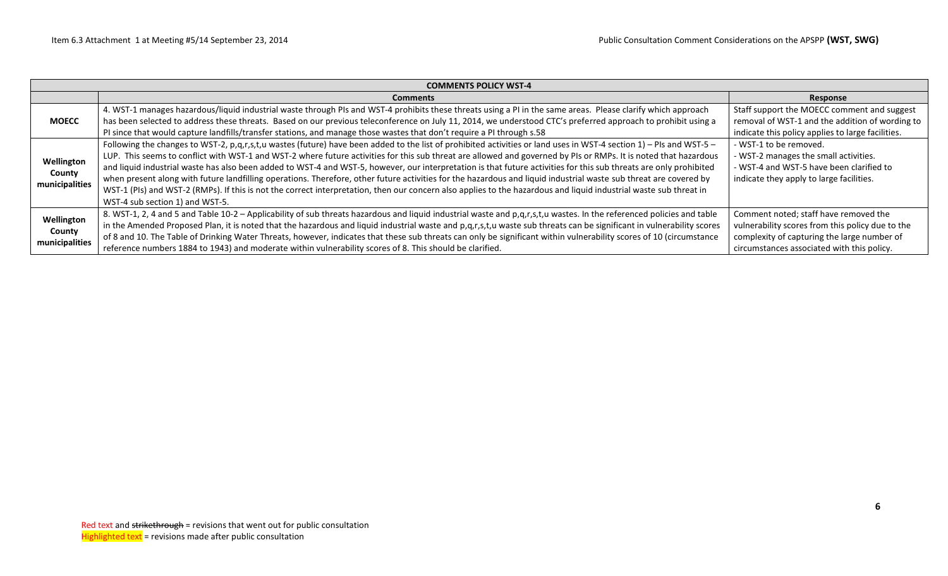|                | <b>COMMENTS POLICY WST-4</b>                                                                                                                                          |                                                   |  |  |  |  |  |  |  |  |  |
|----------------|-----------------------------------------------------------------------------------------------------------------------------------------------------------------------|---------------------------------------------------|--|--|--|--|--|--|--|--|--|
|                | <b>Comments</b>                                                                                                                                                       | Response                                          |  |  |  |  |  |  |  |  |  |
|                | 4. WST-1 manages hazardous/liquid industrial waste through PIs and WST-4 prohibits these threats using a PI in the same areas. Please clarify which approach          | Staff support the MOECC comment and suggest       |  |  |  |  |  |  |  |  |  |
| <b>MOECC</b>   | has been selected to address these threats. Based on our previous teleconference on July 11, 2014, we understood CTC's preferred approach to prohibit using a         | removal of WST-1 and the addition of wording to   |  |  |  |  |  |  |  |  |  |
|                | PI since that would capture landfills/transfer stations, and manage those wastes that don't require a PI through s.58                                                 | indicate this policy applies to large facilities. |  |  |  |  |  |  |  |  |  |
|                | Following the changes to WST-2, p,q,r,s,t,u wastes (future) have been added to the list of prohibited activities or land uses in WST-4 section 1) - PIs and WST-5 -   | - WST-1 to be removed.                            |  |  |  |  |  |  |  |  |  |
| Wellington     | LUP. This seems to conflict with WST-1 and WST-2 where future activities for this sub threat are allowed and governed by PIs or RMPs. It is noted that hazardous      | - WST-2 manages the small activities.             |  |  |  |  |  |  |  |  |  |
| County         | and liquid industrial waste has also been added to WST-4 and WST-5, however, our interpretation is that future activities for this sub threats are only prohibited    | - WST-4 and WST-5 have been clarified to          |  |  |  |  |  |  |  |  |  |
| municipalities | when present along with future landfilling operations. Therefore, other future activities for the hazardous and liquid industrial waste sub threat are covered by     | indicate they apply to large facilities.          |  |  |  |  |  |  |  |  |  |
|                | WST-1 (PIs) and WST-2 (RMPs). If this is not the correct interpretation, then our concern also applies to the hazardous and liquid industrial waste sub threat in     |                                                   |  |  |  |  |  |  |  |  |  |
|                | WST-4 sub section 1) and WST-5.                                                                                                                                       |                                                   |  |  |  |  |  |  |  |  |  |
| Wellington     | 8. WST-1, 2, 4 and 5 and Table 10-2 - Applicability of sub threats hazardous and liquid industrial waste and p,q,r,s,t,u wastes. In the referenced policies and table | Comment noted; staff have removed the             |  |  |  |  |  |  |  |  |  |
| County         | in the Amended Proposed Plan, it is noted that the hazardous and liquid industrial waste and p,q,r,s,t,u waste sub threats can be significant in vulnerability scores | vulnerability scores from this policy due to the  |  |  |  |  |  |  |  |  |  |
|                | of 8 and 10. The Table of Drinking Water Threats, however, indicates that these sub threats can only be significant within vulnerability scores of 10 (circumstance   | complexity of capturing the large number of       |  |  |  |  |  |  |  |  |  |
| municipalities | reference numbers 1884 to 1943) and moderate within vulnerability scores of 8. This should be clarified.                                                              | circumstances associated with this policy.        |  |  |  |  |  |  |  |  |  |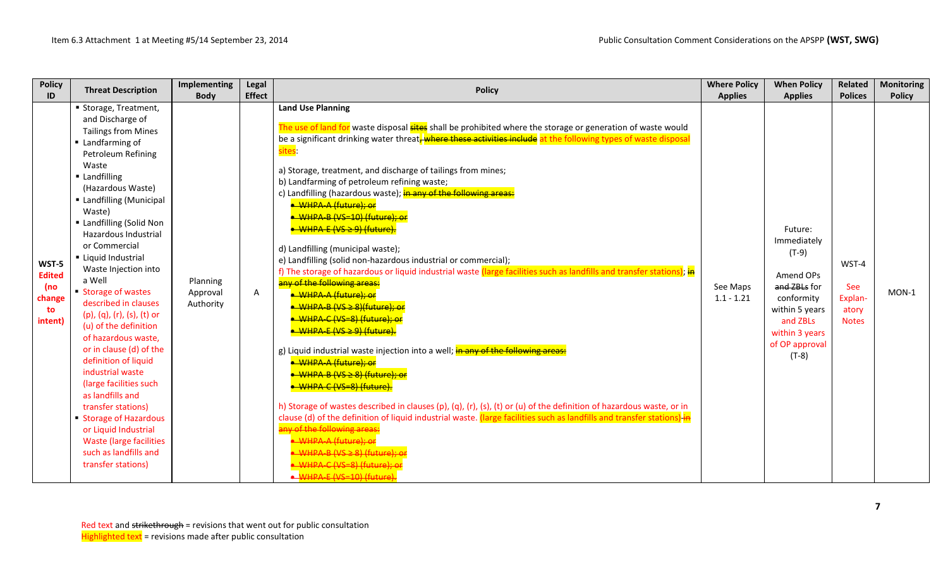| <b>Policy</b>                                            | <b>Threat Description</b>                                                                                                                                                                                                                                                                                                                                                                                                                                                                                                                                                                                                                                                                                                                       | Implementing                      | Legal         | <b>Policy</b>                                                                                                                                                                                                                                                                                                                                                                                                                                                                                                                                                                                                                                                                                                                                                                                                                                                                                                                                                                                                                                                                                                                                                                                                                                                                                                                                                                                                                                                                                                                                                 | <b>Where Policy</b>      | <b>When Policy</b>                                                                                                                                        | <b>Related</b>                                   | <b>Monitoring</b> |
|----------------------------------------------------------|-------------------------------------------------------------------------------------------------------------------------------------------------------------------------------------------------------------------------------------------------------------------------------------------------------------------------------------------------------------------------------------------------------------------------------------------------------------------------------------------------------------------------------------------------------------------------------------------------------------------------------------------------------------------------------------------------------------------------------------------------|-----------------------------------|---------------|---------------------------------------------------------------------------------------------------------------------------------------------------------------------------------------------------------------------------------------------------------------------------------------------------------------------------------------------------------------------------------------------------------------------------------------------------------------------------------------------------------------------------------------------------------------------------------------------------------------------------------------------------------------------------------------------------------------------------------------------------------------------------------------------------------------------------------------------------------------------------------------------------------------------------------------------------------------------------------------------------------------------------------------------------------------------------------------------------------------------------------------------------------------------------------------------------------------------------------------------------------------------------------------------------------------------------------------------------------------------------------------------------------------------------------------------------------------------------------------------------------------------------------------------------------------|--------------------------|-----------------------------------------------------------------------------------------------------------------------------------------------------------|--------------------------------------------------|-------------------|
| ID                                                       |                                                                                                                                                                                                                                                                                                                                                                                                                                                                                                                                                                                                                                                                                                                                                 | <b>Body</b>                       | <b>Effect</b> |                                                                                                                                                                                                                                                                                                                                                                                                                                                                                                                                                                                                                                                                                                                                                                                                                                                                                                                                                                                                                                                                                                                                                                                                                                                                                                                                                                                                                                                                                                                                                               | <b>Applies</b>           | <b>Applies</b>                                                                                                                                            | <b>Polices</b>                                   | <b>Policy</b>     |
| WST-5<br><b>Edited</b><br>(no<br>change<br>to<br>intent) | Storage, Treatment,<br>and Discharge of<br><b>Tailings from Mines</b><br>Landfarming of<br>Petroleum Refining<br>Waste<br><b>Landfilling</b><br>(Hazardous Waste)<br><b>Landfilling (Municipal</b><br>Waste)<br>■ Landfilling (Solid Non<br>Hazardous Industrial<br>or Commercial<br>Liquid Industrial<br>Waste Injection into<br>a Well<br>Storage of wastes<br>described in clauses<br>(p), (q), (r), (s), (t) or<br>(u) of the definition<br>of hazardous waste,<br>or in clause (d) of the<br>definition of liquid<br>industrial waste<br>(large facilities such<br>as landfills and<br>transfer stations)<br>Storage of Hazardous<br>or Liquid Industrial<br><b>Waste (large facilities</b><br>such as landfills and<br>transfer stations) | Planning<br>Approval<br>Authority | Α             | <b>Land Use Planning</b><br>The use of land for waste disposal sites shall be prohibited where the storage or generation of waste would<br>be a significant drinking water threat, where these activities include at the following types of waste disposal<br>sites:<br>a) Storage, treatment, and discharge of tailings from mines;<br>b) Landfarming of petroleum refining waste;<br>c) Landfilling (hazardous waste); in any of the following areas:<br>• WHPA-A (future); or<br>• WHPA-B (VS=10) (future); or<br>• WHPA-E (VS ≥ 9) (future).<br>d) Landfilling (municipal waste);<br>e) Landfilling (solid non-hazardous industrial or commercial);<br>f) The storage of hazardous or liquid industrial waste (large facilities such as landfills and transfer stations); $\frac{1}{10}$<br>any of the following areas:<br>• WHPA-A (future); or<br>• WHPA-B (VS ≥ 8)(future); or<br><del>• WHPA-C (VS=8) (future): or</del><br>• WHPA-E (VS ≥ 9) (future).<br>g) Liquid industrial waste injection into a well; in any of the following areas:<br>· WHPA-A (future); or<br><mark>• WHPA-B (VS ≥ 8) (future); or</mark><br>· WHPA-C (VS=8) (future).<br>h) Storage of wastes described in clauses (p), (q), (r), (s), (t) or (u) of the definition of hazardous waste, or in<br>clause (d) of the definition of liquid industrial waste. (large facilities such as landfills and transfer stations) in<br>anv of the following areas<br>WHPA-A (future); or<br>$WHPA-B (VS > 8) (future):$<br>WHPA-C (VS=8) (future)<br>$\bullet$ WHPA-F (VS=10) (future) | See Maps<br>$1.1 - 1.21$ | Future:<br>Immediately<br>$(T-9)$<br>Amend OPs<br>and ZBLs for<br>conformity<br>within 5 years<br>and ZBLs<br>within 3 years<br>of OP approval<br>$(T-8)$ | WST-4<br>See<br>Explan-<br>atory<br><b>Notes</b> | $MON-1$           |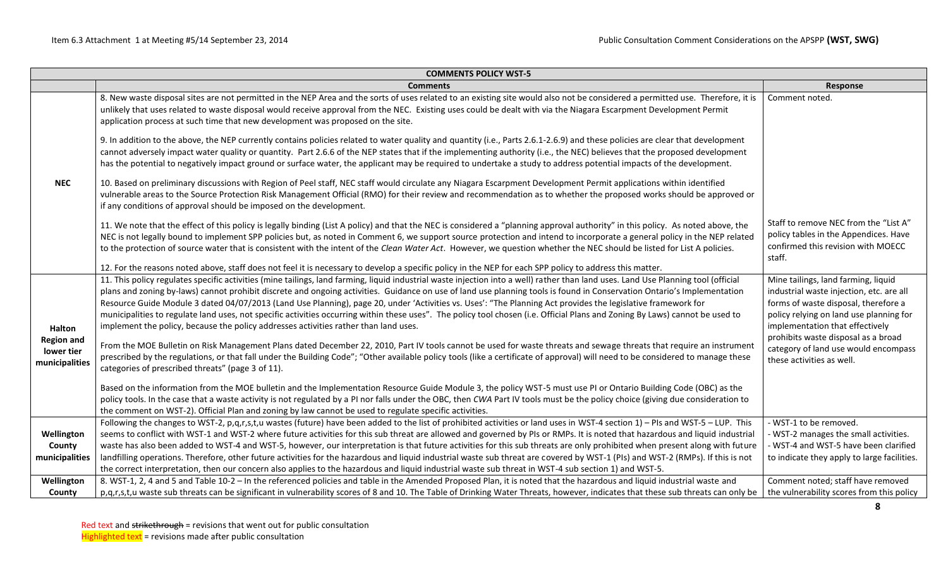|                                                   | <b>COMMENTS POLICY WST-5</b>                                                                                                                                                                                                                                                                                                                                                                                                                                                                                                                                                                                                                                                                                                                                                                           |                                                                                                                                                                                                       |
|---------------------------------------------------|--------------------------------------------------------------------------------------------------------------------------------------------------------------------------------------------------------------------------------------------------------------------------------------------------------------------------------------------------------------------------------------------------------------------------------------------------------------------------------------------------------------------------------------------------------------------------------------------------------------------------------------------------------------------------------------------------------------------------------------------------------------------------------------------------------|-------------------------------------------------------------------------------------------------------------------------------------------------------------------------------------------------------|
|                                                   | <b>Comments</b>                                                                                                                                                                                                                                                                                                                                                                                                                                                                                                                                                                                                                                                                                                                                                                                        | Response                                                                                                                                                                                              |
|                                                   | 8. New waste disposal sites are not permitted in the NEP Area and the sorts of uses related to an existing site would also not be considered a permitted use. Therefore, it is<br>unlikely that uses related to waste disposal would receive approval from the NEC. Existing uses could be dealt with via the Niagara Escarpment Development Permit<br>application process at such time that new development was proposed on the site.                                                                                                                                                                                                                                                                                                                                                                 | Comment noted.                                                                                                                                                                                        |
|                                                   | 9. In addition to the above, the NEP currently contains policies related to water quality and quantity (i.e., Parts 2.6.1-2.6.9) and these policies are clear that development<br>cannot adversely impact water quality or quantity. Part 2.6.6 of the NEP states that if the implementing authority (i.e., the NEC) believes that the proposed development<br>has the potential to negatively impact ground or surface water, the applicant may be required to undertake a study to address potential impacts of the development.                                                                                                                                                                                                                                                                     |                                                                                                                                                                                                       |
| <b>NEC</b>                                        | 10. Based on preliminary discussions with Region of Peel staff, NEC staff would circulate any Niagara Escarpment Development Permit applications within identified<br>vulnerable areas to the Source Protection Risk Management Official (RMO) for their review and recommendation as to whether the proposed works should be approved or<br>if any conditions of approval should be imposed on the development.                                                                                                                                                                                                                                                                                                                                                                                       |                                                                                                                                                                                                       |
|                                                   | 11. We note that the effect of this policy is legally binding (List A policy) and that the NEC is considered a "planning approval authority" in this policy. As noted above, the<br>NEC is not legally bound to implement SPP policies but, as noted in Comment 6, we support source protection and intend to incorporate a general policy in the NEP related<br>to the protection of source water that is consistent with the intent of the Clean Water Act. However, we question whether the NEC should be listed for List A policies.                                                                                                                                                                                                                                                               | Staff to remove NEC from the "List A"<br>policy tables in the Appendices. Have<br>confirmed this revision with MOECC<br>staff.                                                                        |
|                                                   | 12. For the reasons noted above, staff does not feel it is necessary to develop a specific policy in the NEP for each SPP policy to address this matter.                                                                                                                                                                                                                                                                                                                                                                                                                                                                                                                                                                                                                                               |                                                                                                                                                                                                       |
| Halton                                            | 11. This policy regulates specific activities (mine tailings, land farming, liquid industrial waste injection into a well) rather than land uses. Land Use Planning tool (official<br>plans and zoning by-laws) cannot prohibit discrete and ongoing activities. Guidance on use of land use planning tools is found in Conservation Ontario's Implementation<br>Resource Guide Module 3 dated 04/07/2013 (Land Use Planning), page 20, under 'Activities vs. Uses': "The Planning Act provides the legislative framework for<br>municipalities to regulate land uses, not specific activities occurring within these uses". The policy tool chosen (i.e. Official Plans and Zoning By Laws) cannot be used to<br>implement the policy, because the policy addresses activities rather than land uses. | Mine tailings, land farming, liquid<br>industrial waste injection, etc. are all<br>forms of waste disposal, therefore a<br>policy relying on land use planning for<br>implementation that effectively |
| <b>Region and</b><br>lower tier<br>municipalities | From the MOE Bulletin on Risk Management Plans dated December 22, 2010, Part IV tools cannot be used for waste threats and sewage threats that require an instrument<br>prescribed by the regulations, or that fall under the Building Code"; "Other available policy tools (like a certificate of approval) will need to be considered to manage these<br>categories of prescribed threats" (page 3 of 11).                                                                                                                                                                                                                                                                                                                                                                                           | prohibits waste disposal as a broad<br>category of land use would encompass<br>these activities as well.                                                                                              |
|                                                   | Based on the information from the MOE bulletin and the Implementation Resource Guide Module 3, the policy WST-5 must use PI or Ontario Building Code (OBC) as the<br>policy tools. In the case that a waste activity is not regulated by a PI nor falls under the OBC, then CWA Part IV tools must be the policy choice (giving due consideration to<br>the comment on WST-2). Official Plan and zoning by law cannot be used to regulate specific activities.                                                                                                                                                                                                                                                                                                                                         |                                                                                                                                                                                                       |
|                                                   | Following the changes to WST-2, p,q,r,s,t,u wastes (future) have been added to the list of prohibited activities or land uses in WST-4 section 1) - PIs and WST-5 - LUP. This                                                                                                                                                                                                                                                                                                                                                                                                                                                                                                                                                                                                                          | - WST-1 to be removed.                                                                                                                                                                                |
| Wellington                                        | seems to conflict with WST-1 and WST-2 where future activities for this sub threat are allowed and governed by PIs or RMPs. It is noted that hazardous and liquid industrial                                                                                                                                                                                                                                                                                                                                                                                                                                                                                                                                                                                                                           | - WST-2 manages the small activities.                                                                                                                                                                 |
| County                                            | waste has also been added to WST-4 and WST-5, however, our interpretation is that future activities for this sub threats are only prohibited when present along with future                                                                                                                                                                                                                                                                                                                                                                                                                                                                                                                                                                                                                            | - WST-4 and WST-5 have been clarified                                                                                                                                                                 |
| municipalities                                    | landfilling operations. Therefore, other future activities for the hazardous and liquid industrial waste sub threat are covered by WST-1 (PIs) and WST-2 (RMPs). If this is not<br>the correct interpretation, then our concern also applies to the hazardous and liquid industrial waste sub threat in WST-4 sub section 1) and WST-5.                                                                                                                                                                                                                                                                                                                                                                                                                                                                | to indicate they apply to large facilities.                                                                                                                                                           |
| Wellington                                        | 8. WST-1, 2, 4 and 5 and Table 10-2 - In the referenced policies and table in the Amended Proposed Plan, it is noted that the hazardous and liquid industrial waste and                                                                                                                                                                                                                                                                                                                                                                                                                                                                                                                                                                                                                                | Comment noted; staff have removed                                                                                                                                                                     |
| County                                            | p,q,r,s,t,u waste sub threats can be significant in vulnerability scores of 8 and 10. The Table of Drinking Water Threats, however, indicates that these sub threats can only be                                                                                                                                                                                                                                                                                                                                                                                                                                                                                                                                                                                                                       | the vulnerability scores from this policy                                                                                                                                                             |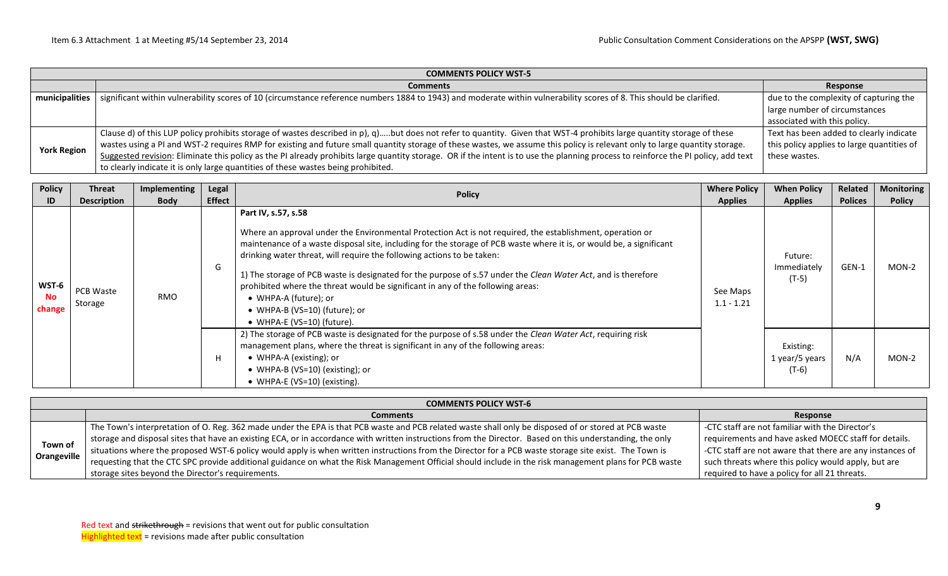|                    | <b>COMMENTS POLICY WST-5</b>                                                                                                                                                       |                                            |  |  |  |  |  |  |  |  |  |
|--------------------|------------------------------------------------------------------------------------------------------------------------------------------------------------------------------------|--------------------------------------------|--|--|--|--|--|--|--|--|--|
|                    | <b>Comments</b>                                                                                                                                                                    | Response                                   |  |  |  |  |  |  |  |  |  |
| municipalities     | significant within vulnerability scores of 10 (circumstance reference numbers 1884 to 1943) and moderate within vulnerability scores of 8. This should be clarified.               | due to the complexity of capturing the     |  |  |  |  |  |  |  |  |  |
|                    |                                                                                                                                                                                    | large number of circumstances              |  |  |  |  |  |  |  |  |  |
|                    |                                                                                                                                                                                    | associated with this policy.               |  |  |  |  |  |  |  |  |  |
|                    | Clause d) of this LUP policy prohibits storage of wastes described in p), q)but does not refer to quantity. Given that WST-4 prohibits large quantity storage of these             | Text has been added to clearly indicate    |  |  |  |  |  |  |  |  |  |
| <b>York Region</b> | wastes using a PI and WST-2 requires RMP for existing and future small quantity storage of these wastes, we assume this policy is relevant only to large quantity storage.         | this policy applies to large quantities of |  |  |  |  |  |  |  |  |  |
|                    | Suggested revision: Eliminate this policy as the PI already prohibits large quantity storage. OR if the intent is to use the planning process to reinforce the PI policy, add text | these wastes.                              |  |  |  |  |  |  |  |  |  |
|                    | to clearly indicate it is only large quantities of these wastes being prohibited.                                                                                                  |                                            |  |  |  |  |  |  |  |  |  |

| <b>Policy</b><br>ID   | <b>Threat</b><br><b>Description</b> | Implementing<br><b>Body</b> | Legal<br><b>Effect</b> | <b>Policy</b>                                                                                                                                                                                                                                                                                                                                                                                                                                                                                                                                                                                                                  | <b>Where Policy</b><br><b>Applies</b> | <b>When Policy</b><br><b>Applies</b>   | Related<br><b>Polices</b> | <b>Monitoring</b><br><b>Policy</b> |
|-----------------------|-------------------------------------|-----------------------------|------------------------|--------------------------------------------------------------------------------------------------------------------------------------------------------------------------------------------------------------------------------------------------------------------------------------------------------------------------------------------------------------------------------------------------------------------------------------------------------------------------------------------------------------------------------------------------------------------------------------------------------------------------------|---------------------------------------|----------------------------------------|---------------------------|------------------------------------|
| WST-6<br>No<br>change | PCB Waste<br>Storage                | <b>RMO</b>                  | G                      | Part IV, s.57, s.58<br>Where an approval under the Environmental Protection Act is not required, the establishment, operation or<br>maintenance of a waste disposal site, including for the storage of PCB waste where it is, or would be, a significant<br>drinking water threat, will require the following actions to be taken:<br>1) The storage of PCB waste is designated for the purpose of s.57 under the Clean Water Act, and is therefore<br>prohibited where the threat would be significant in any of the following areas:<br>• WHPA-A (future); or<br>• WHPA-B (VS=10) (future); or<br>• WHPA-E (VS=10) (future). | See Maps<br>$1.1 - 1.21$              | Future:<br>Immediately<br>(T-5)        | GEN-1                     | $MON-2$                            |
|                       |                                     |                             | H                      | 2) The storage of PCB waste is designated for the purpose of s.58 under the Clean Water Act, requiring risk<br>management plans, where the threat is significant in any of the following areas:<br>• WHPA-A (existing); or<br>• WHPA-B (VS=10) (existing); or<br>• WHPA-E (VS=10) (existing).                                                                                                                                                                                                                                                                                                                                  |                                       | Existing:<br>1 year/5 years<br>$(T-6)$ | N/A                       | $MON-2$                            |

|                        | <b>COMMENTS POLICY WST-6</b>                                                                                                                                                                                                                                                                                                                                                                                                                                                                                                                                                                             |                                                                                                                                                                                                                                                                             |  |  |  |  |  |  |  |
|------------------------|----------------------------------------------------------------------------------------------------------------------------------------------------------------------------------------------------------------------------------------------------------------------------------------------------------------------------------------------------------------------------------------------------------------------------------------------------------------------------------------------------------------------------------------------------------------------------------------------------------|-----------------------------------------------------------------------------------------------------------------------------------------------------------------------------------------------------------------------------------------------------------------------------|--|--|--|--|--|--|--|
|                        | <b>Comments</b>                                                                                                                                                                                                                                                                                                                                                                                                                                                                                                                                                                                          | Response                                                                                                                                                                                                                                                                    |  |  |  |  |  |  |  |
| Town of<br>Orangeville | The Town's interpretation of O. Reg. 362 made under the EPA is that PCB waste and PCB related waste shall only be disposed of or stored at PCB waste<br>storage and disposal sites that have an existing ECA, or in accordance with written instructions from the Director. Based on this understanding, the only<br>situations where the proposed WST-6 policy would apply is when writt<br>requesting that the CTC SPC provide additional guidance on what the Risk Management Official should include in the risk management plans for PCB waste<br>storage sites beyond the Director's requirements. | -CTC staff are not familiar with the Director's<br>requirements and have asked MOECC staff for details.<br>-CTC staff are not aware that there are any instances of<br>such threats where this policy would apply, but are<br>required to have a policy for all 21 threats. |  |  |  |  |  |  |  |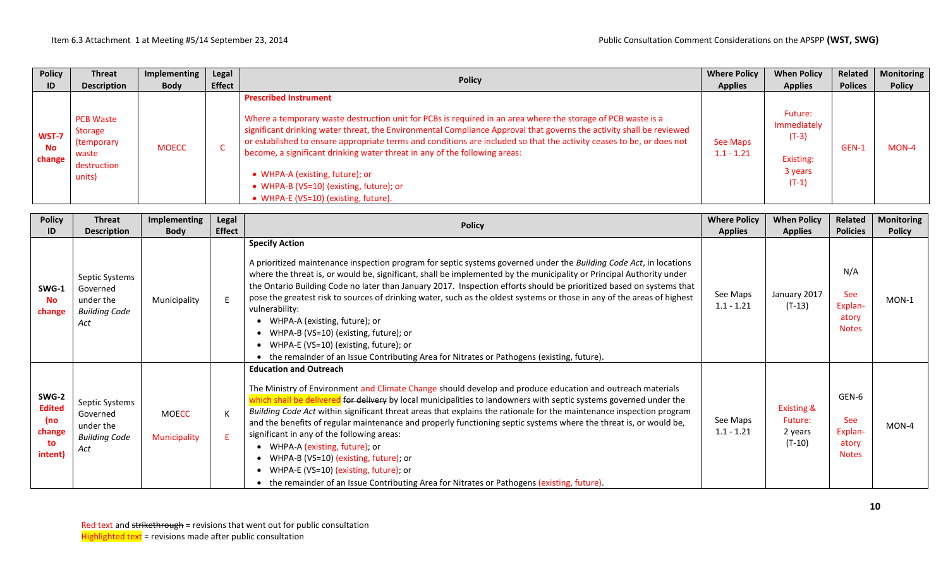| <b>Policy</b>                | <b>Threat</b>                                                         | Implementing | Legal         | <b>Policy</b>                                                                                                                                                                                                                                                                                                                                                                                                                                                                                                                                                                                     | <b>Where Policy</b>      | <b>When Policy</b>                                                   | Related        | <b>Monitoring</b> |
|------------------------------|-----------------------------------------------------------------------|--------------|---------------|---------------------------------------------------------------------------------------------------------------------------------------------------------------------------------------------------------------------------------------------------------------------------------------------------------------------------------------------------------------------------------------------------------------------------------------------------------------------------------------------------------------------------------------------------------------------------------------------------|--------------------------|----------------------------------------------------------------------|----------------|-------------------|
| ID                           | <b>Description</b>                                                    | <b>Body</b>  | <b>Effect</b> |                                                                                                                                                                                                                                                                                                                                                                                                                                                                                                                                                                                                   | <b>Applies</b>           | <b>Applies</b>                                                       | <b>Polices</b> | <b>Policy</b>     |
| WST-7<br><b>No</b><br>change | PCB Waste<br>Storage<br>(temporary)<br>waste<br>destruction<br>units) | <b>MOECC</b> |               | <b>Prescribed Instrument</b><br>Where a temporary waste destruction unit for PCBs is required in an area where the storage of PCB waste is a<br>significant drinking water threat, the Environmental Compliance Approval that governs the activity shall be reviewed<br>or established to ensure appropriate terms and conditions are included so that the activity ceases to be, or does not<br>become, a significant drinking water threat in any of the following areas:<br>• WHPA-A (existing, future); or<br>• WHPA-B (VS=10) (existing, future); or<br>• WHPA-E (VS=10) (existing, future). | See Maps<br>$1.1 - 1.21$ | Future:<br>Immediately<br>$(T-3)$<br>Existing:<br>3 years<br>$(T-1)$ | GEN-1          | $MON-4$           |

| <b>Policy</b>                                            | <b>Threat</b>                                                          | Implementing                        | Legal         | <b>Policy</b>                                                                                                                                                                                                                                                                                                                                                                                                                                                                                                                                                                                                                                                                                                                                                                                      | <b>Where Policy</b>      | <b>When Policy</b>                                      | Related                                                 | <b>Monitoring</b> |
|----------------------------------------------------------|------------------------------------------------------------------------|-------------------------------------|---------------|----------------------------------------------------------------------------------------------------------------------------------------------------------------------------------------------------------------------------------------------------------------------------------------------------------------------------------------------------------------------------------------------------------------------------------------------------------------------------------------------------------------------------------------------------------------------------------------------------------------------------------------------------------------------------------------------------------------------------------------------------------------------------------------------------|--------------------------|---------------------------------------------------------|---------------------------------------------------------|-------------------|
| ID                                                       | <b>Description</b>                                                     | <b>Body</b>                         | <b>Effect</b> |                                                                                                                                                                                                                                                                                                                                                                                                                                                                                                                                                                                                                                                                                                                                                                                                    | <b>Applies</b>           | <b>Applies</b>                                          | <b>Policies</b>                                         | <b>Policy</b>     |
| SWG-1<br><b>No</b><br>change                             | Septic Systems<br>Governed<br>under the<br><b>Building Code</b><br>Act | Municipality                        | F             | <b>Specify Action</b><br>A prioritized maintenance inspection program for septic systems governed under the Building Code Act, in locations<br>where the threat is, or would be, significant, shall be implemented by the municipality or Principal Authority under<br>the Ontario Building Code no later than January 2017. Inspection efforts should be prioritized based on systems that<br>pose the greatest risk to sources of drinking water, such as the oldest systems or those in any of the areas of highest<br>vulnerability:<br>• WHPA-A (existing, future); or<br>• WHPA-B (VS=10) (existing, future); or<br>• WHPA-E (VS=10) (existing, future); or<br>• the remainder of an Issue Contributing Area for Nitrates or Pathogens (existing, future).                                   | See Maps<br>$1.1 - 1.21$ | January 2017<br>$(T-13)$                                | N/A<br><b>See</b><br>Explan-<br>atory<br><b>Notes</b>   | $MON-1$           |
| SWG-2<br><b>Edited</b><br>(no<br>change<br>to<br>intent) | Septic Systems<br>Governed<br>under the<br><b>Building Code</b><br>Act | <b>MOECC</b><br><b>Municipality</b> | К<br>E        | <b>Education and Outreach</b><br>The Ministry of Environment and Climate Change should develop and produce education and outreach materials<br>d for delivery by local municipalities to landowners with septic systems governed under the<br>which shall be deliver<br>Building Code Act within significant threat areas that explains the rationale for the maintenance inspection program<br>and the benefits of regular maintenance and properly functioning septic systems where the threat is, or would be,<br>significant in any of the following areas:<br>• WHPA-A (existing, future); or<br>WHPA-B (VS=10) (existing, future); or<br>$\bullet$<br>• WHPA-E (VS=10) (existing, future); or<br>• the remainder of an Issue Contributing Area for Nitrates or Pathogens (existing, future). | See Maps<br>$1.1 - 1.21$ | <b>Existing &amp;</b><br>Future:<br>2 years<br>$(T-10)$ | GEN-6<br><b>See</b><br>Explan-<br>atory<br><b>Notes</b> | $MON-4$           |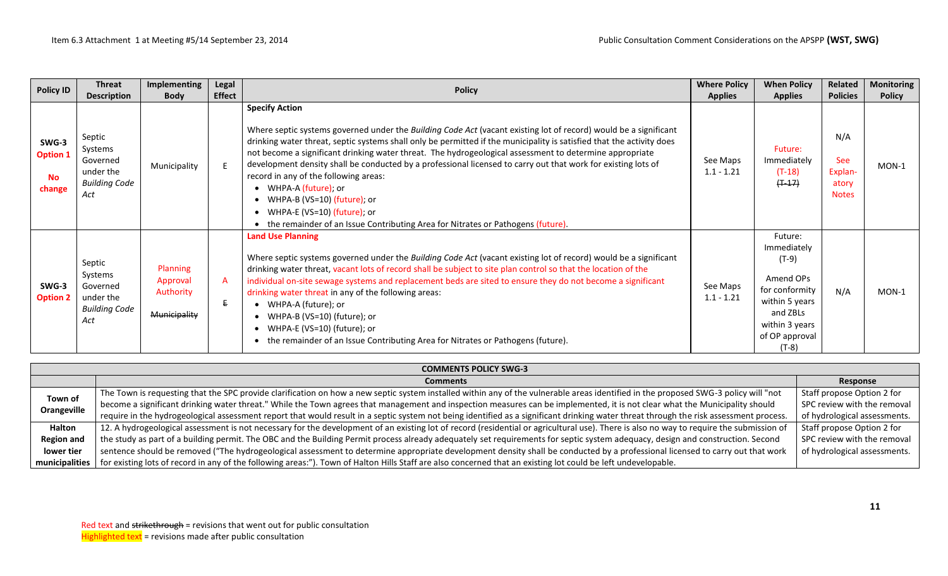| <b>Policy ID</b>                                | <b>Threat</b><br><b>Description</b>                                       | Implementing<br><b>Body</b>                       | Legal<br><b>Effect</b> | <b>Policy</b>                                                                                                                                                                                                                                                                                                                                                                                                                                                                                                                                                                                                                                                                                                           | <b>Where Policy</b><br><b>Applies</b> | <b>When Policy</b><br><b>Applies</b>                                                                                                          | Related<br><b>Policies</b>                            | <b>Monitoring</b><br><b>Policy</b> |
|-------------------------------------------------|---------------------------------------------------------------------------|---------------------------------------------------|------------------------|-------------------------------------------------------------------------------------------------------------------------------------------------------------------------------------------------------------------------------------------------------------------------------------------------------------------------------------------------------------------------------------------------------------------------------------------------------------------------------------------------------------------------------------------------------------------------------------------------------------------------------------------------------------------------------------------------------------------------|---------------------------------------|-----------------------------------------------------------------------------------------------------------------------------------------------|-------------------------------------------------------|------------------------------------|
| SWG-3<br><b>Option 1</b><br><b>No</b><br>change | Septic<br>Systems<br>Governed<br>under the<br><b>Building Code</b><br>Act | Municipality                                      | E                      | <b>Specify Action</b><br>Where septic systems governed under the Building Code Act (vacant existing lot of record) would be a significant<br>drinking water threat, septic systems shall only be permitted if the municipality is satisfied that the activity does<br>not become a significant drinking water threat. The hydrogeological assessment to determine appropriate<br>development density shall be conducted by a professional licensed to carry out that work for existing lots of<br>record in any of the following areas:<br>• WHPA-A (future); or<br>• WHPA-B (VS=10) (future); or<br>• WHPA-E (VS=10) (future); or<br>• the remainder of an Issue Contributing Area for Nitrates or Pathogens (future). | See Maps<br>$1.1 - 1.21$              | Future:<br>Immediately<br>$(T-18)$<br>$(+ -17)$                                                                                               | N/A<br><b>See</b><br>Explan-<br>atory<br><b>Notes</b> | $MON-1$                            |
| SWG-3<br><b>Option 2</b>                        | Septic<br>Systems<br>Governed<br>under the<br><b>Building Code</b><br>Act | Planning<br>Approval<br>Authority<br>Municipality | A<br>E.                | <b>Land Use Planning</b><br>Where septic systems governed under the Building Code Act (vacant existing lot of record) would be a significant<br>drinking water threat, vacant lots of record shall be subject to site plan control so that the location of the<br>individual on-site sewage systems and replacement beds are sited to ensure they do not become a significant<br>drinking water threat in any of the following areas:<br>• WHPA-A (future); or<br>• WHPA-B (VS=10) (future); or<br>WHPA-E (VS=10) (future); or<br>$\bullet$<br>• the remainder of an Issue Contributing Area for Nitrates or Pathogens (future).                                                                                        | See Maps<br>$1.1 - 1.21$              | Future:<br>Immediately<br>$(T-9)$<br>Amend OPs<br>for conformity<br>within 5 years<br>and ZBLs<br>within 3 years<br>of OP approval<br>$(T-8)$ | N/A                                                   | $MON-1$                            |

|                   | <b>COMMENTS POLICY SWG-3</b>                                                                                                                                                            |                              |  |  |  |  |  |  |  |
|-------------------|-----------------------------------------------------------------------------------------------------------------------------------------------------------------------------------------|------------------------------|--|--|--|--|--|--|--|
|                   | <b>Comments</b>                                                                                                                                                                         | Response                     |  |  |  |  |  |  |  |
| Town of           | The Town is requesting that the SPC provide clarification on how a new septic system installed within any of the vulnerable areas identified in the proposed SWG-3 policy will "not     | Staff propose Option 2 for   |  |  |  |  |  |  |  |
|                   | become a significant drinking water threat." While the Town agrees that management and inspection measures can be implemented, it is not clear what the Municipality should             | SPC review with the removal  |  |  |  |  |  |  |  |
| Orangeville       | require in the hydrogeological assessment report that would result in a septic system not being identified as a significant drinking water threat through the risk assessment process.  | of hydrological assessments. |  |  |  |  |  |  |  |
| <b>Halton</b>     | 12. A hydrogeological assessment is not necessary for the development of an existing lot of record (residential or agricultural use). There is also no way to require the submission of | Staff propose Option 2 for   |  |  |  |  |  |  |  |
| <b>Region and</b> | the study as part of a building permit. The OBC and the Building Permit process already adequately set requirements for septic system adequacy, design and construction. Second         | SPC review with the removal  |  |  |  |  |  |  |  |
| lower tier        | sentence should be removed ("The hydrogeological assessment to determine appropriate development density shall be conducted by a professional licensed to carry out that work           | of hydrological assessments. |  |  |  |  |  |  |  |
| municipalities    | for existing lots of record in any of the following areas:"). Town of Halton Hills Staff are also concerned that an existing lot could be left undevelopable.                           |                              |  |  |  |  |  |  |  |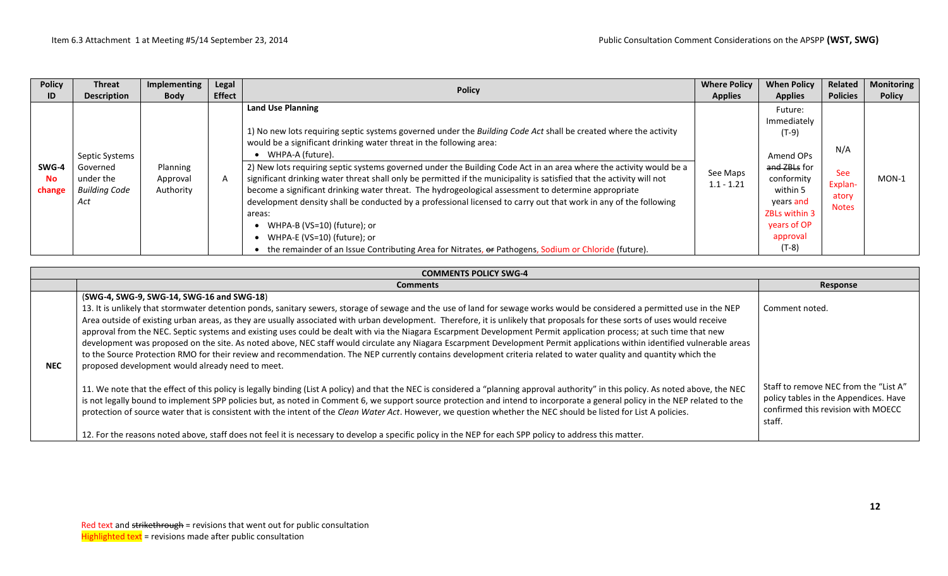| <b>Policy</b><br>ID          | Threat<br><b>Description</b>                  | Implementing<br><b>Body</b>       | Legal<br><b>Effect</b> | <b>Policy</b>                                                                                                                                                                                                                                                                                                                                                                                                                                                                                                   | <b>Where Policy</b><br><b>Applies</b> | <b>When Policy</b><br><b>Applies</b>                                                            | Related<br><b>Policies</b>                     | <b>Monitoring</b><br><b>Policy</b> |
|------------------------------|-----------------------------------------------|-----------------------------------|------------------------|-----------------------------------------------------------------------------------------------------------------------------------------------------------------------------------------------------------------------------------------------------------------------------------------------------------------------------------------------------------------------------------------------------------------------------------------------------------------------------------------------------------------|---------------------------------------|-------------------------------------------------------------------------------------------------|------------------------------------------------|------------------------------------|
|                              |                                               |                                   |                        | <b>Land Use Planning</b>                                                                                                                                                                                                                                                                                                                                                                                                                                                                                        |                                       | Future:                                                                                         |                                                |                                    |
|                              |                                               |                                   |                        |                                                                                                                                                                                                                                                                                                                                                                                                                                                                                                                 |                                       | Immediately                                                                                     |                                                |                                    |
|                              | Septic Systems                                |                                   |                        | 1) No new lots requiring septic systems governed under the Building Code Act shall be created where the activity<br>would be a significant drinking water threat in the following area:<br>• WHPA-A (future).                                                                                                                                                                                                                                                                                                   |                                       | (T-9)<br>N/A<br>Amend OPs                                                                       |                                                |                                    |
| SWG-4<br><b>No</b><br>change | Governed<br>under the<br>Building Code<br>Act | Planning<br>Approval<br>Authority | A                      | 2) New lots requiring septic systems governed under the Building Code Act in an area where the activity would be a<br>significant drinking water threat shall only be permitted if the municipality is satisfied that the activity will not<br>become a significant drinking water threat. The hydrogeological assessment to determine appropriate<br>development density shall be conducted by a professional licensed to carry out that work in any of the following<br>areas:<br>WHPA-B (VS=10) (future); or | See Maps<br>$1.1 - 1.21$              | a <del>nd ZBLs</del> for<br>conformity<br>within 5<br>years and<br>ZBLs within 3<br>years of OP | <b>See</b><br>Explan-<br>atory<br><b>Notes</b> | $MON-1$                            |
|                              |                                               |                                   |                        | • WHPA-E (VS=10) (future); or<br>• the remainder of an Issue Contributing Area for Nitrates, or Pathogens, Sodium or Chloride (future).                                                                                                                                                                                                                                                                                                                                                                         |                                       | approval<br>$(T-8)$                                                                             |                                                |                                    |

| <b>COMMENTS POLICY SWG-4</b> |                                                                                                                                                                                                                                                                                                                                                                                                                                                                                                                                                                                                                                                                                                                                                                                                                                                                                                                                                                                                                                                                                                                                                                                                                                                                                                                                                                                                                                                                                                                                                                                                                                                                                              |                                                                                                                                                  |  |  |  |  |  |  |
|------------------------------|----------------------------------------------------------------------------------------------------------------------------------------------------------------------------------------------------------------------------------------------------------------------------------------------------------------------------------------------------------------------------------------------------------------------------------------------------------------------------------------------------------------------------------------------------------------------------------------------------------------------------------------------------------------------------------------------------------------------------------------------------------------------------------------------------------------------------------------------------------------------------------------------------------------------------------------------------------------------------------------------------------------------------------------------------------------------------------------------------------------------------------------------------------------------------------------------------------------------------------------------------------------------------------------------------------------------------------------------------------------------------------------------------------------------------------------------------------------------------------------------------------------------------------------------------------------------------------------------------------------------------------------------------------------------------------------------|--------------------------------------------------------------------------------------------------------------------------------------------------|--|--|--|--|--|--|
|                              | <b>Comments</b>                                                                                                                                                                                                                                                                                                                                                                                                                                                                                                                                                                                                                                                                                                                                                                                                                                                                                                                                                                                                                                                                                                                                                                                                                                                                                                                                                                                                                                                                                                                                                                                                                                                                              | Response                                                                                                                                         |  |  |  |  |  |  |
| <b>NEC</b>                   | (SWG-4, SWG-9, SWG-14, SWG-16 and SWG-18)<br>13. It is unlikely that stormwater detention ponds, sanitary sewers, storage of sewage and the use of land for sewage works would be considered a permitted use in the NEP<br>Area outside of existing urban areas, as they are usually associated with urban development. Therefore, it is unlikely that proposals for these sorts of uses would receive<br>approval from the NEC. Septic systems and existing uses could be dealt with via the Niagara Escarpment Development Permit application process; at such time that new<br>development was proposed on the site. As noted above, NEC staff would circulate any Niagara Escarpment Development Permit applications within identified vulnerable areas<br>to the Source Protection RMO for their review and recommendation. The NEP currently contains development criteria related to water quality and quantity which the<br>proposed development would already need to meet.<br>11. We note that the effect of this policy is legally binding (List A policy) and that the NEC is considered a "planning approval authority" in this policy. As noted above, the NEC<br>is not legally bound to implement SPP policies but, as noted in Comment 6, we support source protection and intend to incorporate a general policy in the NEP related to the<br>protection of source water that is consistent with the intent of the Clean Water Act. However, we question whether the NEC should be listed for List A policies.<br>12. For the reasons noted above, staff does not feel it is necessary to develop a specific policy in the NEP for each SPP policy to address this matter. | Comment noted.<br>Staff to remove NEC from the "List A"<br>policy tables in the Appendices. Have<br>confirmed this revision with MOECC<br>staff. |  |  |  |  |  |  |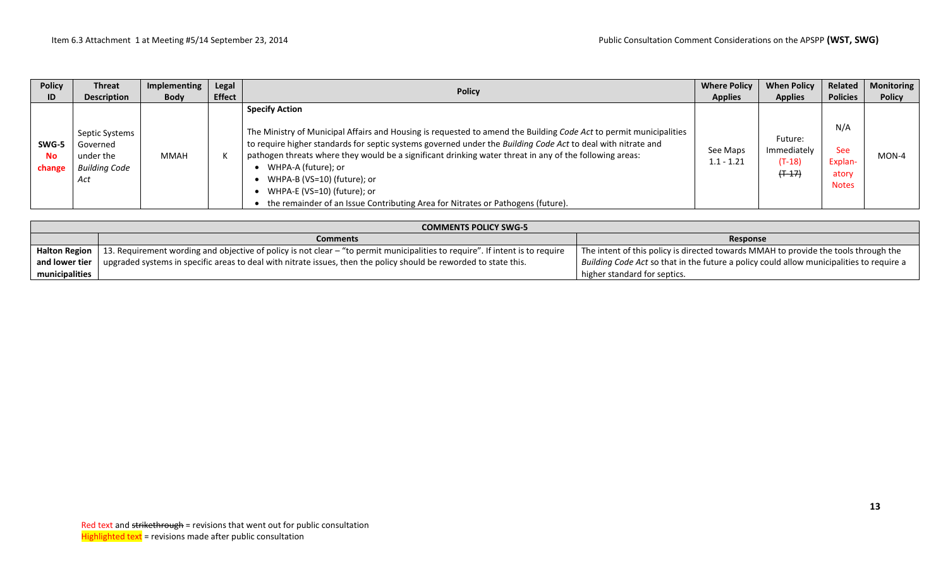| <b>Policy</b>                | <b>Threat</b>                                                          | Implementing | Legal         | <b>Policy</b>                                                                                                                                                                                                                                                                                                                                                                                                                                                                                                                                  | <b>Where Policy</b>      | <b>When Policy</b>                              | Related                                               | <b>Monitoring</b> |
|------------------------------|------------------------------------------------------------------------|--------------|---------------|------------------------------------------------------------------------------------------------------------------------------------------------------------------------------------------------------------------------------------------------------------------------------------------------------------------------------------------------------------------------------------------------------------------------------------------------------------------------------------------------------------------------------------------------|--------------------------|-------------------------------------------------|-------------------------------------------------------|-------------------|
| ID                           | <b>Description</b>                                                     | <b>Body</b>  | <b>Effect</b> |                                                                                                                                                                                                                                                                                                                                                                                                                                                                                                                                                | <b>Applies</b>           | <b>Applies</b>                                  | <b>Policies</b>                                       | <b>Policy</b>     |
| SWG-5<br><b>No</b><br>change | Septic Systems<br>Governed<br>under the<br><b>Building Code</b><br>Act | MMAH         | К             | <b>Specify Action</b><br>The Ministry of Municipal Affairs and Housing is requested to amend the Building Code Act to permit municipalities<br>to require higher standards for septic systems governed under the Building Code Act to deal with nitrate and<br>pathogen threats where they would be a significant drinking water threat in any of the following areas:<br>WHPA-A (future); or<br>WHPA-B (VS=10) (future); or<br>WHPA-E (VS=10) (future); or<br>the remainder of an Issue Contributing Area for Nitrates or Pathogens (future). | See Maps<br>$1.1 - 1.21$ | Future:<br>Immediately<br>$(T-18)$<br>$(+ -17)$ | N/A<br><b>See</b><br>Explan-<br>atory<br><b>Notes</b> | $MON-4$           |

|                             | <b>COMMENTS POLICY SWG-5</b>                                                                                                                  |                                                                                          |  |  |  |  |  |  |  |
|-----------------------------|-----------------------------------------------------------------------------------------------------------------------------------------------|------------------------------------------------------------------------------------------|--|--|--|--|--|--|--|
| Response<br><b>Comments</b> |                                                                                                                                               |                                                                                          |  |  |  |  |  |  |  |
|                             | Halton Region   13. Requirement wording and objective of policy is not clear – "to permit municipalities to require". If intent is to require | The intent of this policy is directed towards MMAH to provide the tools through the      |  |  |  |  |  |  |  |
| and lower tier              | $\mu$ upgraded systems in specific areas to deal with nitrate issues, then the policy should be reworded to state this.                       | Building Code Act so that in the future a policy could allow municipalities to require a |  |  |  |  |  |  |  |
| municipalities              |                                                                                                                                               | higher standard for septics.                                                             |  |  |  |  |  |  |  |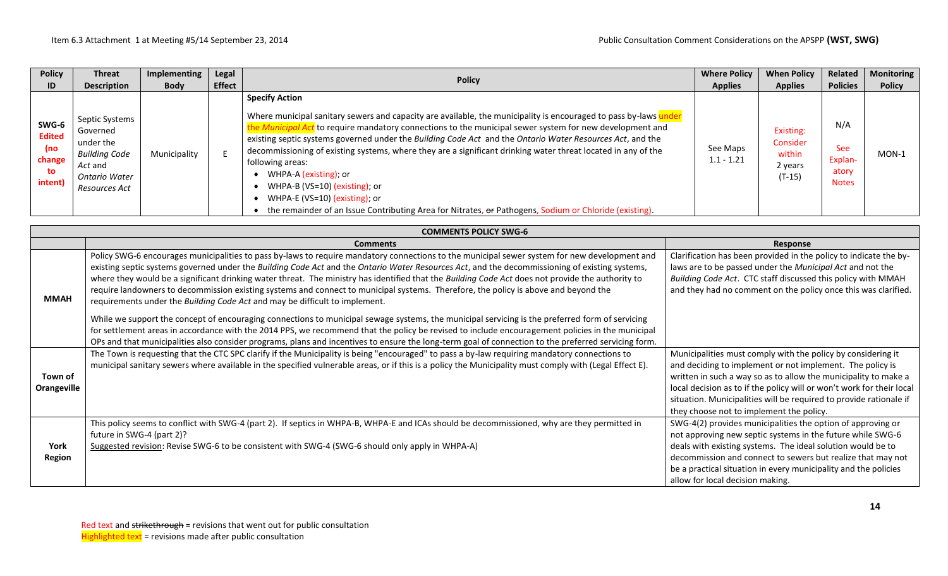| <b>Policy</b>                                            | <b>Threat</b>                                                                                                | Implementing | Legal         | <b>Policy</b>                                                                                                                                                                                                                                                                                                                                                                                                                                                                                                                                                                                                                                                                                             | <b>Where Policy</b>      | <b>When Policy</b>                                     | <b>Related</b>                                        | <b>Monitoring</b> |
|----------------------------------------------------------|--------------------------------------------------------------------------------------------------------------|--------------|---------------|-----------------------------------------------------------------------------------------------------------------------------------------------------------------------------------------------------------------------------------------------------------------------------------------------------------------------------------------------------------------------------------------------------------------------------------------------------------------------------------------------------------------------------------------------------------------------------------------------------------------------------------------------------------------------------------------------------------|--------------------------|--------------------------------------------------------|-------------------------------------------------------|-------------------|
| ID                                                       | <b>Description</b>                                                                                           | <b>Body</b>  | <b>Effect</b> |                                                                                                                                                                                                                                                                                                                                                                                                                                                                                                                                                                                                                                                                                                           | <b>Applies</b>           | <b>Applies</b>                                         | <b>Policies</b>                                       | <b>Policy</b>     |
| SWG-6<br><b>Edited</b><br>(no<br>change<br>to<br>intent) | Septic Systems<br>Governed<br>under the<br><b>Building Code</b><br>Act and<br>Ontario Water<br>Resources Act | Municipality |               | <b>Specify Action</b><br>Where municipal sanitary sewers and capacity are available, the municipality is encouraged to pass by-laws ur<br>the Municipal Act to require mandatory connections to the municipal sewer system for new development and<br>existing septic systems governed under the Building Code Act and the Ontario Water Resources Act, and the<br>decommissioning of existing systems, where they are a significant drinking water threat located in any of the<br>following areas:<br>WHPA-A (existing); or<br>WHPA-B (VS=10) (existing); or<br>WHPA-E (VS=10) (existing); or<br>the remainder of an Issue Contributing Area for Nitrates, or Pathogens, Sodium or Chloride (existing). | See Maps<br>$1.1 - 1.21$ | Existing:<br>Consider<br>within<br>2 years<br>$(T-15)$ | N/A<br><b>See</b><br>Explan-<br>atory<br><b>Notes</b> | $MON-1$           |

|                        | <b>COMMENTS POLICY SWG-6</b>                                                                                                                                                                                                                                                                                                                                                                                                                                                                                                                                                                                                                                               |                                                                                                                                                                                                                                                                                                                                                                                         |
|------------------------|----------------------------------------------------------------------------------------------------------------------------------------------------------------------------------------------------------------------------------------------------------------------------------------------------------------------------------------------------------------------------------------------------------------------------------------------------------------------------------------------------------------------------------------------------------------------------------------------------------------------------------------------------------------------------|-----------------------------------------------------------------------------------------------------------------------------------------------------------------------------------------------------------------------------------------------------------------------------------------------------------------------------------------------------------------------------------------|
|                        | <b>Comments</b>                                                                                                                                                                                                                                                                                                                                                                                                                                                                                                                                                                                                                                                            | Response                                                                                                                                                                                                                                                                                                                                                                                |
| <b>MMAH</b>            | Policy SWG-6 encourages municipalities to pass by-laws to require mandatory connections to the municipal sewer system for new development and<br>existing septic systems governed under the Building Code Act and the Ontario Water Resources Act, and the decommissioning of existing systems,<br>where they would be a significant drinking water threat. The ministry has identified that the Building Code Act does not provide the authority to<br>require landowners to decommission existing systems and connect to municipal systems. Therefore, the policy is above and beyond the<br>requirements under the Building Code Act and may be difficult to implement. | Clarification has been provided in the policy to indicate the by-<br>laws are to be passed under the Municipal Act and not the<br>Building Code Act. CTC staff discussed this policy with MMAH<br>and they had no comment on the policy once this was clarified.                                                                                                                        |
|                        | While we support the concept of encouraging connections to municipal sewage systems, the municipal servicing is the preferred form of servicing<br>for settlement areas in accordance with the 2014 PPS, we recommend that the policy be revised to include encouragement policies in the municipal<br>OPs and that municipalities also consider programs, plans and incentives to ensure the long-term goal of connection to the preferred servicing form.                                                                                                                                                                                                                |                                                                                                                                                                                                                                                                                                                                                                                         |
| Town of<br>Orangeville | The Town is requesting that the CTC SPC clarify if the Municipality is being "encouraged" to pass a by-law requiring mandatory connections to<br>municipal sanitary sewers where available in the specified vulnerable areas, or if this is a policy the Municipality must comply with (Legal Effect E).                                                                                                                                                                                                                                                                                                                                                                   | Municipalities must comply with the policy by considering it<br>and deciding to implement or not implement. The policy is<br>written in such a way so as to allow the municipality to make a<br>local decision as to if the policy will or won't work for their local<br>situation. Municipalities will be required to provide rationale if<br>they choose not to implement the policy. |
| York<br>Region         | This policy seems to conflict with SWG-4 (part 2). If septics in WHPA-B, WHPA-E and ICAs should be decommissioned, why are they permitted in<br>future in SWG-4 (part 2)?<br>Suggested revision: Revise SWG-6 to be consistent with SWG-4 (SWG-6 should only apply in WHPA-A)                                                                                                                                                                                                                                                                                                                                                                                              | SWG-4(2) provides municipalities the option of approving or<br>not approving new septic systems in the future while SWG-6<br>deals with existing systems. The ideal solution would be to<br>decommission and connect to sewers but realize that may not<br>be a practical situation in every municipality and the policies<br>allow for local decision making.                          |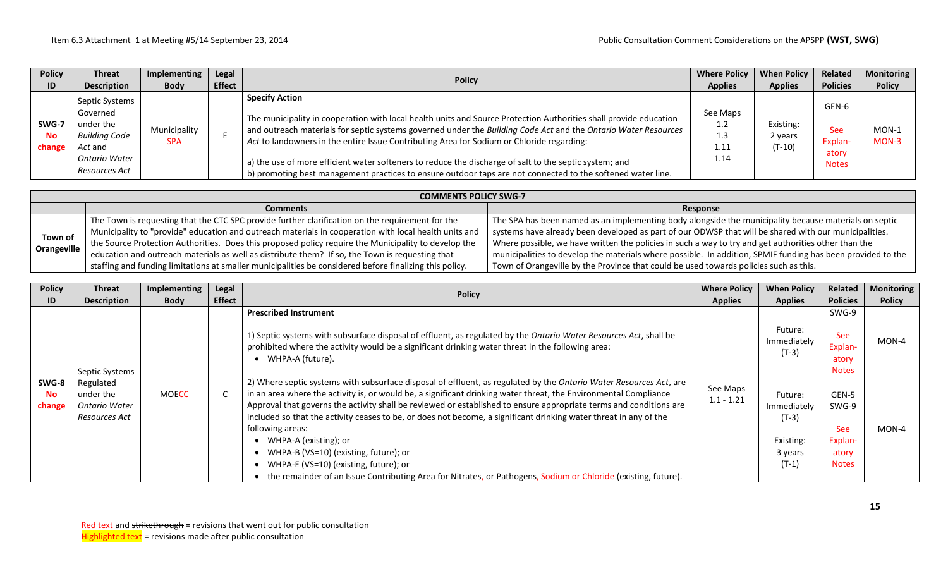| <b>Policy</b>                | <b>Threat</b>                                                                                         | Implementing               | Legal         | <b>Policy</b>                                                                                                                                                                                                                                                                                                                                                                                                                                                                                                                                                                      | <b>Where Policy</b>                    | <b>When Policy</b>               | Related                                          | <b>Monitoring</b>  |
|------------------------------|-------------------------------------------------------------------------------------------------------|----------------------------|---------------|------------------------------------------------------------------------------------------------------------------------------------------------------------------------------------------------------------------------------------------------------------------------------------------------------------------------------------------------------------------------------------------------------------------------------------------------------------------------------------------------------------------------------------------------------------------------------------|----------------------------------------|----------------------------------|--------------------------------------------------|--------------------|
| ID                           | <b>Description</b>                                                                                    | <b>Body</b>                | <b>Effect</b> |                                                                                                                                                                                                                                                                                                                                                                                                                                                                                                                                                                                    | <b>Applies</b>                         | <b>Applies</b>                   | <b>Policies</b>                                  | <b>Policy</b>      |
| SWG-7<br><b>No</b><br>change | Septic Systems<br>Governed<br>under the<br>Building Code<br>Act and<br>Ontario Water<br>Resources Act | Municipality<br><b>SPA</b> |               | <b>Specify Action</b><br>The municipality in cooperation with local health units and Source Protection Authorities shall provide education<br>and outreach materials for septic systems governed under the Building Code Act and the Ontario Water Resources<br>Act to landowners in the entire Issue Contributing Area for Sodium or Chloride regarding:<br>a) the use of more efficient water softeners to reduce the discharge of salt to the septic system; and<br>b) promoting best management practices to ensure outdoor taps are not connected to the softened water line. | See Maps<br>1.2<br>1.3<br>1.11<br>1.14 | Existing:<br>2 years<br>$(T-10)$ | GEN-6<br>See<br>Explan-<br>atory<br><b>Notes</b> | $MON-1$<br>$MON-3$ |

|             | <b>COMMENTS POLICY SWG-7</b>                                                                                         |                                                                                                             |  |  |  |  |  |  |  |  |
|-------------|----------------------------------------------------------------------------------------------------------------------|-------------------------------------------------------------------------------------------------------------|--|--|--|--|--|--|--|--|
|             | <b>Comments</b>                                                                                                      | Response                                                                                                    |  |  |  |  |  |  |  |  |
|             | The Town is requesting that the CTC SPC provide further clarification on the requirement for the                     | The SPA has been named as an implementing body alongside the municipality because materials on septic       |  |  |  |  |  |  |  |  |
| Town of     | Municipality to "provide" education and outreach materials in cooperation with local health units and $\overline{a}$ | systems have already been developed as part of our ODWSP that will be shared with our municipalities.       |  |  |  |  |  |  |  |  |
|             | the Source Protection Authorities. Does this proposed policy require the Municipality to develop the                 | Where possible, we have written the policies in such a way to try and get authorities other than the        |  |  |  |  |  |  |  |  |
| Orangeville | $\vert$ education and outreach materials as well as distribute them? If so, the Town is requesting that              | municipalities to develop the materials where possible. In addition, SPMIF funding has been provided to the |  |  |  |  |  |  |  |  |
|             | staffing and funding limitations at smaller municipalities be considered before finalizing this policy.              | Town of Orangeville by the Province that could be used towards policies such as this.                       |  |  |  |  |  |  |  |  |

| <b>Policy</b><br>ID          | <b>Threat</b><br><b>Description</b>                             | Implementing<br><b>Body</b> | Legal<br><b>Effect</b> | <b>Policy</b>                                                                                                                                                                                                                                                                                                                                                                                                                                                                                                                                                                                                                                                                                                                      | <b>Where Policy</b><br><b>Applies</b> | <b>When Policy</b><br><b>Applies</b>                                 | Related<br><b>Policies</b>                                       | <b>Monitoring</b><br><b>Policy</b> |
|------------------------------|-----------------------------------------------------------------|-----------------------------|------------------------|------------------------------------------------------------------------------------------------------------------------------------------------------------------------------------------------------------------------------------------------------------------------------------------------------------------------------------------------------------------------------------------------------------------------------------------------------------------------------------------------------------------------------------------------------------------------------------------------------------------------------------------------------------------------------------------------------------------------------------|---------------------------------------|----------------------------------------------------------------------|------------------------------------------------------------------|------------------------------------|
|                              | Septic Systems                                                  |                             |                        | <b>Prescribed Instrument</b><br>1) Septic systems with subsurface disposal of effluent, as regulated by the Ontario Water Resources Act, shall be<br>prohibited where the activity would be a significant drinking water threat in the following area:<br>WHPA-A (future).                                                                                                                                                                                                                                                                                                                                                                                                                                                         |                                       | Future:<br>Immediately<br>$(T-3)$                                    | SWG-9<br><b>See</b><br>Explan-<br>atory<br><b>Notes</b>          | $MON-4$                            |
| SWG-8<br><b>No</b><br>change | Regulated<br>under the<br><b>Ontario Water</b><br>Resources Act | <b>MOECC</b>                | C                      | 2) Where septic systems with subsurface disposal of effluent, as regulated by the Ontario Water Resources Act, are<br>in an area where the activity is, or would be, a significant drinking water threat, the Environmental Compliance<br>Approval that governs the activity shall be reviewed or established to ensure appropriate terms and conditions are<br>included so that the activity ceases to be, or does not become, a significant drinking water threat in any of the<br>following areas:<br>WHPA-A (existing); or<br>WHPA-B (VS=10) (existing, future); or<br>WHPA-E (VS=10) (existing, future); or<br>the remainder of an Issue Contributing Area for Nitrates, or Pathogens, Sodium or Chloride (existing, future). | See Maps<br>$1.1 - 1.21$              | Future:<br>Immediately<br>$(T-3)$<br>Existing:<br>3 years<br>$(T-1)$ | GEN-5<br>SWG-9<br><b>See</b><br>Explan-<br>atory<br><b>Notes</b> | MON-4                              |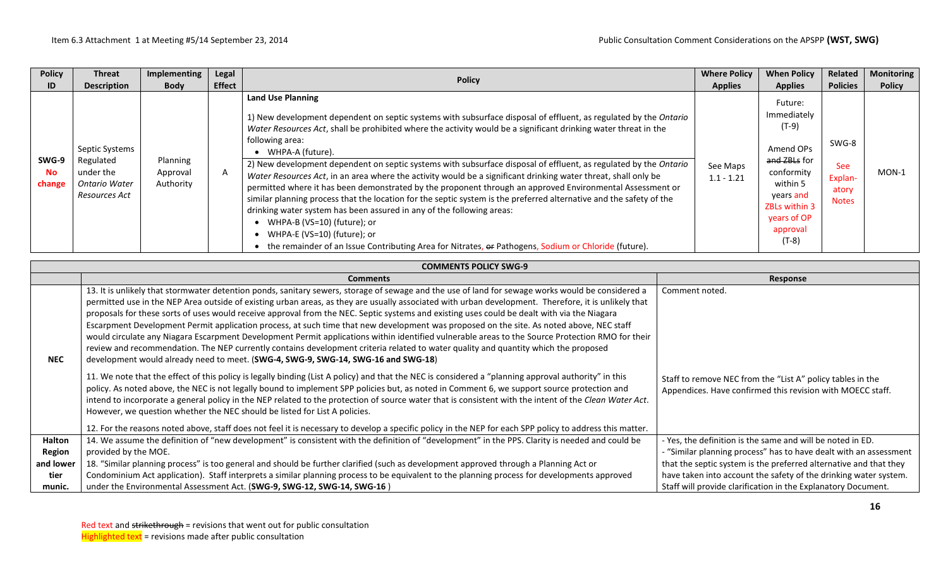| <b>Policy</b>                | <b>Threat</b>                                                                     | Implementing                      | Legal         | <b>Policy</b>                                                                                                                                                                                                                                                                                                                                                                                                                                                                                                                                                                                                                                                                                                                                                                                                                                                                                                                                                                                                                           | <b>Where Policy</b>      | <b>When Policy</b>                                                                                                                                                | Related                                                 | <b>Monitoring</b> |
|------------------------------|-----------------------------------------------------------------------------------|-----------------------------------|---------------|-----------------------------------------------------------------------------------------------------------------------------------------------------------------------------------------------------------------------------------------------------------------------------------------------------------------------------------------------------------------------------------------------------------------------------------------------------------------------------------------------------------------------------------------------------------------------------------------------------------------------------------------------------------------------------------------------------------------------------------------------------------------------------------------------------------------------------------------------------------------------------------------------------------------------------------------------------------------------------------------------------------------------------------------|--------------------------|-------------------------------------------------------------------------------------------------------------------------------------------------------------------|---------------------------------------------------------|-------------------|
| ID                           | <b>Description</b>                                                                | <b>Body</b>                       | <b>Effect</b> |                                                                                                                                                                                                                                                                                                                                                                                                                                                                                                                                                                                                                                                                                                                                                                                                                                                                                                                                                                                                                                         | <b>Applies</b>           | <b>Applies</b>                                                                                                                                                    | <b>Policies</b>                                         | <b>Policy</b>     |
| SWG-9<br><b>No</b><br>change | Septic Systems<br>Regulated<br>under the<br><b>Ontario Water</b><br>Resources Act | Planning<br>Approval<br>Authority | A             | <b>Land Use Planning</b><br>1) New development dependent on septic systems with subsurface disposal of effluent, as regulated by the Ontario<br>Water Resources Act, shall be prohibited where the activity would be a significant drinking water threat in the<br>following area:<br>• WHPA-A (future).<br>2) New development dependent on septic systems with subsurface disposal of effluent, as regulated by the Ontario<br>Water Resources Act, in an area where the activity would be a significant drinking water threat, shall only be<br>permitted where it has been demonstrated by the proponent through an approved Environmental Assessment or<br>similar planning process that the location for the septic system is the preferred alternative and the safety of the<br>drinking water system has been assured in any of the following areas:<br>• WHPA-B (VS=10) (future); or<br>• WHPA-E (VS=10) (future); or<br>• the remainder of an Issue Contributing Area for Nitrates, or Pathogens, Sodium or Chloride (future). | See Maps<br>$1.1 - 1.21$ | Future:<br>Immediately<br>(T-9)<br>Amend OPs<br>and ZBLs for<br>conformity<br>within 5<br>years and<br><b>ZBLs within 3</b><br>years of OP<br>approval<br>$(T-8)$ | SWG-8<br><b>See</b><br>Explan-<br>atory<br><b>Notes</b> | $MON-1$           |

|               | <b>COMMENTS POLICY SWG-9</b>                                                                                                                                                                                                                                                                                                                                                                                                                                                                                                                                                                                                                                                                                                                                                                                                                                                                                                                                                         |                                                                                                                          |  |  |  |  |  |  |  |  |
|---------------|--------------------------------------------------------------------------------------------------------------------------------------------------------------------------------------------------------------------------------------------------------------------------------------------------------------------------------------------------------------------------------------------------------------------------------------------------------------------------------------------------------------------------------------------------------------------------------------------------------------------------------------------------------------------------------------------------------------------------------------------------------------------------------------------------------------------------------------------------------------------------------------------------------------------------------------------------------------------------------------|--------------------------------------------------------------------------------------------------------------------------|--|--|--|--|--|--|--|--|
|               | <b>Comments</b>                                                                                                                                                                                                                                                                                                                                                                                                                                                                                                                                                                                                                                                                                                                                                                                                                                                                                                                                                                      | Response                                                                                                                 |  |  |  |  |  |  |  |  |
| <b>NEC</b>    | 13. It is unlikely that stormwater detention ponds, sanitary sewers, storage of sewage and the use of land for sewage works would be considered a<br>permitted use in the NEP Area outside of existing urban areas, as they are usually associated with urban development. Therefore, it is unlikely that<br>proposals for these sorts of uses would receive approval from the NEC. Septic systems and existing uses could be dealt with via the Niagara<br>Escarpment Development Permit application process, at such time that new development was proposed on the site. As noted above, NEC staff<br>would circulate any Niagara Escarpment Development Permit applications within identified vulnerable areas to the Source Protection RMO for their<br>review and recommendation. The NEP currently contains development criteria related to water quality and quantity which the proposed<br>development would already need to meet. (SWG-4, SWG-9, SWG-14, SWG-16 and SWG-18) | Comment noted.                                                                                                           |  |  |  |  |  |  |  |  |
|               | 11. We note that the effect of this policy is legally binding (List A policy) and that the NEC is considered a "planning approval authority" in this<br>policy. As noted above, the NEC is not legally bound to implement SPP policies but, as noted in Comment 6, we support source protection and<br>intend to incorporate a general policy in the NEP related to the protection of source water that is consistent with the intent of the Clean Water Act.<br>However, we question whether the NEC should be listed for List A policies.<br>12. For the reasons noted above, staff does not feel it is necessary to develop a specific policy in the NEP for each SPP policy to address this matter.                                                                                                                                                                                                                                                                              | Staff to remove NEC from the "List A" policy tables in the<br>Appendices. Have confirmed this revision with MOECC staff. |  |  |  |  |  |  |  |  |
| <b>Halton</b> | 14. We assume the definition of "new development" is consistent with the definition of "development" in the PPS. Clarity is needed and could be                                                                                                                                                                                                                                                                                                                                                                                                                                                                                                                                                                                                                                                                                                                                                                                                                                      | - Yes, the definition is the same and will be noted in ED.                                                               |  |  |  |  |  |  |  |  |
| <b>Region</b> | provided by the MOE.                                                                                                                                                                                                                                                                                                                                                                                                                                                                                                                                                                                                                                                                                                                                                                                                                                                                                                                                                                 | - "Similar planning process" has to have dealt with an assessment                                                        |  |  |  |  |  |  |  |  |
| and lower     | 18. "Similar planning process" is too general and should be further clarified (such as development approved through a Planning Act or                                                                                                                                                                                                                                                                                                                                                                                                                                                                                                                                                                                                                                                                                                                                                                                                                                                | that the septic system is the preferred alternative and that they                                                        |  |  |  |  |  |  |  |  |
| tier          | Condominium Act application). Staff interprets a similar planning process to be equivalent to the planning process for developments approved                                                                                                                                                                                                                                                                                                                                                                                                                                                                                                                                                                                                                                                                                                                                                                                                                                         | have taken into account the safety of the drinking water system.                                                         |  |  |  |  |  |  |  |  |
| munic.        | under the Environmental Assessment Act. (SWG-9, SWG-12, SWG-14, SWG-16)                                                                                                                                                                                                                                                                                                                                                                                                                                                                                                                                                                                                                                                                                                                                                                                                                                                                                                              | Staff will provide clarification in the Explanatory Document.                                                            |  |  |  |  |  |  |  |  |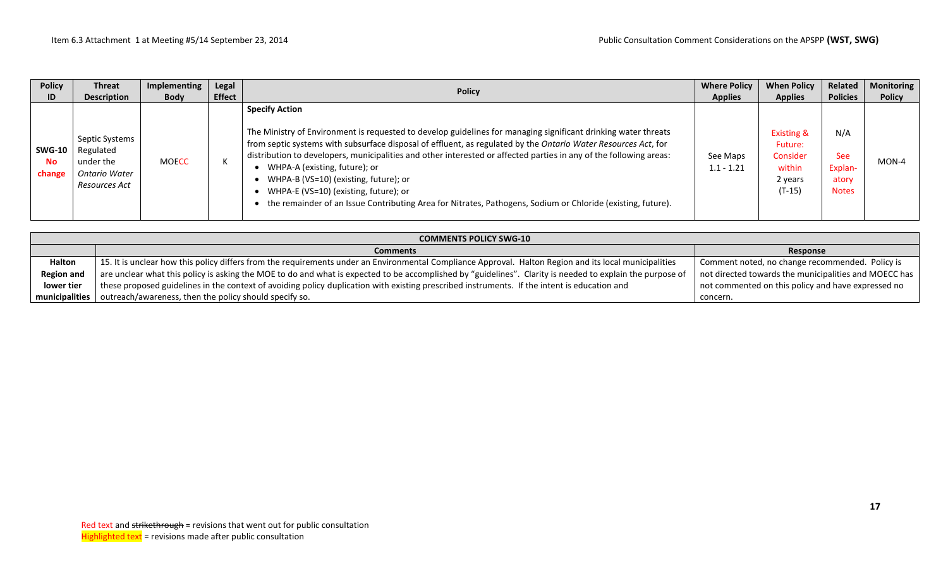| <b>Policy</b>                        | <b>Threat</b>                                                              | Implementing | Legal         |                                                                                                                                                                                                                                                                                                                                                                                                                                                                                                                                                                                                                   | <b>Where Policy</b>      | <b>When Policy</b>                                                            | Related                                               | <b>Monitoring</b> |
|--------------------------------------|----------------------------------------------------------------------------|--------------|---------------|-------------------------------------------------------------------------------------------------------------------------------------------------------------------------------------------------------------------------------------------------------------------------------------------------------------------------------------------------------------------------------------------------------------------------------------------------------------------------------------------------------------------------------------------------------------------------------------------------------------------|--------------------------|-------------------------------------------------------------------------------|-------------------------------------------------------|-------------------|
| ID                                   | <b>Description</b>                                                         | <b>Body</b>  | <b>Effect</b> | <b>Policy</b>                                                                                                                                                                                                                                                                                                                                                                                                                                                                                                                                                                                                     | <b>Applies</b>           | <b>Applies</b>                                                                | <b>Policies</b>                                       | <b>Policy</b>     |
| <b>SWG-10</b><br><b>No</b><br>change | Septic Systems<br>Regulated<br>under the<br>Ontario Water<br>Resources Act | <b>MOECC</b> | К             | <b>Specify Action</b><br>The Ministry of Environment is requested to develop guidelines for managing significant drinking water threats<br>from septic systems with subsurface disposal of effluent, as regulated by the Ontario Water Resources Act, for<br>distribution to developers, municipalities and other interested or affected parties in any of the following areas:<br>WHPA-A (existing, future); or<br>WHPA-B (VS=10) (existing, future); or<br>WHPA-E (VS=10) (existing, future); or<br>the remainder of an Issue Contributing Area for Nitrates, Pathogens, Sodium or Chloride (existing, future). | See Maps<br>$1.1 - 1.21$ | <b>Existing &amp;</b><br>Future:<br>Consider<br>within<br>2 years<br>$(T-15)$ | N/A<br><b>See</b><br>Explan-<br>atory<br><b>Notes</b> | $MON-4$           |

| <b>COMMENTS POLICY SWG-10</b> |                                                                                                                                                           |                                                       |  |  |  |  |  |  |  |
|-------------------------------|-----------------------------------------------------------------------------------------------------------------------------------------------------------|-------------------------------------------------------|--|--|--|--|--|--|--|
|                               | <b>Comments</b>                                                                                                                                           | Response                                              |  |  |  |  |  |  |  |
| <b>Halton</b>                 | 15. It is unclear how this policy differs from the requirements under an Environmental Compliance Approval. Halton Region and its local municipalities    | Comment noted, no change recommended. Policy is       |  |  |  |  |  |  |  |
| <b>Region and</b>             | are unclear what this policy is asking the MOE to do and what is expected to be accomplished by "guidelines". Clarity is needed to explain the purpose of | not directed towards the municipalities and MOECC has |  |  |  |  |  |  |  |
| lower tier                    | these proposed guidelines in the context of avoiding policy duplication with existing prescribed instruments. If the intent is education and              | not commented on this policy and have expressed no    |  |  |  |  |  |  |  |
|                               | municipalities   outreach/awareness, then the policy should specify so.                                                                                   | concern.                                              |  |  |  |  |  |  |  |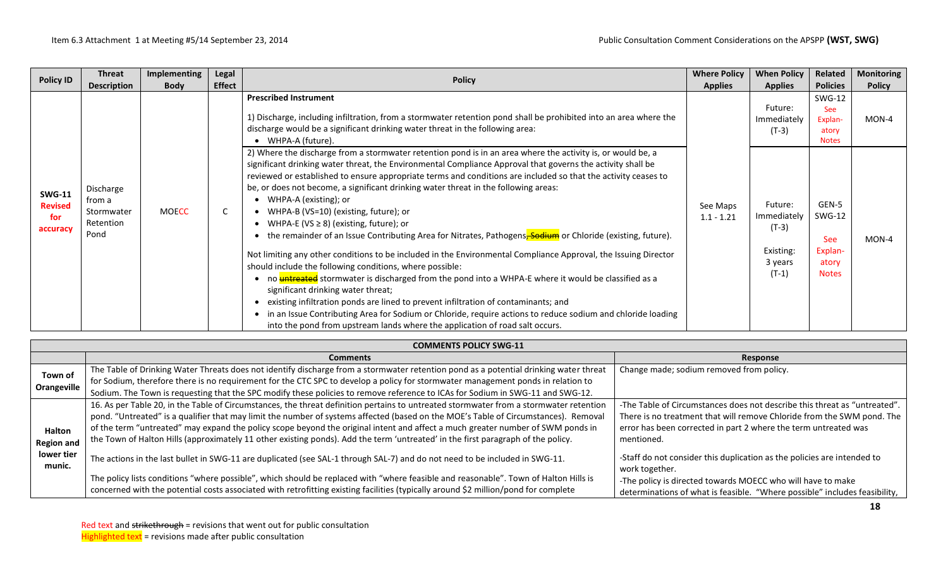| <b>Policy ID</b>                                   | Threat<br><b>Description</b>                           | Implementing<br><b>Body</b> | Legal<br><b>Effect</b> | <b>Policy</b>                                                                                                                                                                                                                                                                                                                                                                                                                                                                                                                                                                                                                                                                                                                                                                                                                                                                                                                                                                                                                                                                                                                                                                                                                                                                         | <b>Where Policy</b><br><b>Applies</b> | <b>When Policy</b><br><b>Applies</b>                                                                    | Related<br><b>Policies</b>                                                                                                                  | <b>Monitoring</b><br><b>Policy</b> |
|----------------------------------------------------|--------------------------------------------------------|-----------------------------|------------------------|---------------------------------------------------------------------------------------------------------------------------------------------------------------------------------------------------------------------------------------------------------------------------------------------------------------------------------------------------------------------------------------------------------------------------------------------------------------------------------------------------------------------------------------------------------------------------------------------------------------------------------------------------------------------------------------------------------------------------------------------------------------------------------------------------------------------------------------------------------------------------------------------------------------------------------------------------------------------------------------------------------------------------------------------------------------------------------------------------------------------------------------------------------------------------------------------------------------------------------------------------------------------------------------|---------------------------------------|---------------------------------------------------------------------------------------------------------|---------------------------------------------------------------------------------------------------------------------------------------------|------------------------------------|
| <b>SWG-11</b><br><b>Revised</b><br>for<br>accuracy | Discharge<br>from a<br>Stormwater<br>Retention<br>Pond | <b>MOECC</b>                | C                      | <b>Prescribed Instrument</b><br>1) Discharge, including infiltration, from a stormwater retention pond shall be prohibited into an area where the<br>discharge would be a significant drinking water threat in the following area:<br>• WHPA-A (future).<br>2) Where the discharge from a stormwater retention pond is in an area where the activity is, or would be, a<br>significant drinking water threat, the Environmental Compliance Approval that governs the activity shall be<br>reviewed or established to ensure appropriate terms and conditions are included so that the activity ceases to<br>be, or does not become, a significant drinking water threat in the following areas:<br>• WHPA-A (existing); or<br>• WHPA-B (VS=10) (existing, future); or<br>• WHPA-E (VS $\geq$ 8) (existing, future); or<br>the remainder of an Issue Contributing Area for Nitrates, Pathogens, Sodium or Chloride (existing, future).<br>Not limiting any other conditions to be included in the Environmental Compliance Approval, the Issuing Director<br>should include the following conditions, where possible:<br>no <b>untreated</b> stormwater is discharged from the pond into a WHPA-E where it would be classified as a<br>$\bullet$<br>significant drinking water threat; | See Maps<br>$1.1 - 1.21$              | Future:<br>Immediately<br>(T-3)<br>Future:<br>Immediately<br>$(T-3)$<br>Existing:<br>3 years<br>$(T-1)$ | <b>SWG-12</b><br><b>See</b><br>Explan-<br>atory<br><b>Notes</b><br>GEN-5<br><b>SWG-12</b><br><b>See</b><br>Explan-<br>atory<br><b>Notes</b> | MON-4<br>MON-4                     |
|                                                    |                                                        |                             |                        | existing infiltration ponds are lined to prevent infiltration of contaminants; and<br>in an Issue Contributing Area for Sodium or Chloride, require actions to reduce sodium and chloride loading<br>into the pond from upstream lands where the application of road salt occurs.                                                                                                                                                                                                                                                                                                                                                                                                                                                                                                                                                                                                                                                                                                                                                                                                                                                                                                                                                                                                     |                                       |                                                                                                         |                                                                                                                                             |                                    |

|                                    | <b>COMMENTS POLICY SWG-11</b>                                                                                                                                                                                                                                                                                                                                                                                                                                                                                                                        |                                                                                                                                                                                                                                      |  |  |  |  |  |  |  |  |  |
|------------------------------------|------------------------------------------------------------------------------------------------------------------------------------------------------------------------------------------------------------------------------------------------------------------------------------------------------------------------------------------------------------------------------------------------------------------------------------------------------------------------------------------------------------------------------------------------------|--------------------------------------------------------------------------------------------------------------------------------------------------------------------------------------------------------------------------------------|--|--|--|--|--|--|--|--|--|
|                                    | <b>Comments</b>                                                                                                                                                                                                                                                                                                                                                                                                                                                                                                                                      | Response                                                                                                                                                                                                                             |  |  |  |  |  |  |  |  |  |
| Town of<br>Orangeville             | The Table of Drinking Water Threats does not identify discharge from a stormwater retention pond as a potential drinking water threat<br>for Sodium, therefore there is no requirement for the CTC SPC to develop a policy for stormwater management ponds in relation to<br>Sodium. The Town is requesting that the SPC modify these policies to remove reference to ICAs for Sodium in SWG-11 and SWG-12.                                                                                                                                          | Change made; sodium removed from policy.                                                                                                                                                                                             |  |  |  |  |  |  |  |  |  |
| <b>Halton</b><br><b>Region and</b> | 16. As per Table 20, in the Table of Circumstances, the threat definition pertains to untreated stormwater from a stormwater retention<br>pond. "Untreated" is a qualifier that may limit the number of systems affected (based on the MOE's Table of Circumstances). Removal<br>of the term "untreated" may expand the policy scope beyond the original intent and affect a much greater number of SWM ponds in<br>the Town of Halton Hills (approximately 11 other existing ponds). Add the term 'untreated' in the first paragraph of the policy. | -The Table of Circumstances does not describe this threat as "untreated".<br>There is no treatment that will remove Chloride from the SWM pond. The<br>error has been corrected in part 2 where the term untreated was<br>mentioned. |  |  |  |  |  |  |  |  |  |
| lower tier<br>munic.               | The actions in the last bullet in SWG-11 are duplicated (see SAL-1 through SAL-7) and do not need to be included in SWG-11.                                                                                                                                                                                                                                                                                                                                                                                                                          | -Staff do not consider this duplication as the policies are intended to<br>work together.                                                                                                                                            |  |  |  |  |  |  |  |  |  |
|                                    | The policy lists conditions "where possible", which should be replaced with "where feasible and reasonable". Town of Halton Hills is<br>concerned with the potential costs associated with retrofitting existing facilities (typically around \$2 million/pond for complete                                                                                                                                                                                                                                                                          | -The policy is directed towards MOECC who will have to make<br>determinations of what is feasible. "Where possible" includes feasibility,                                                                                            |  |  |  |  |  |  |  |  |  |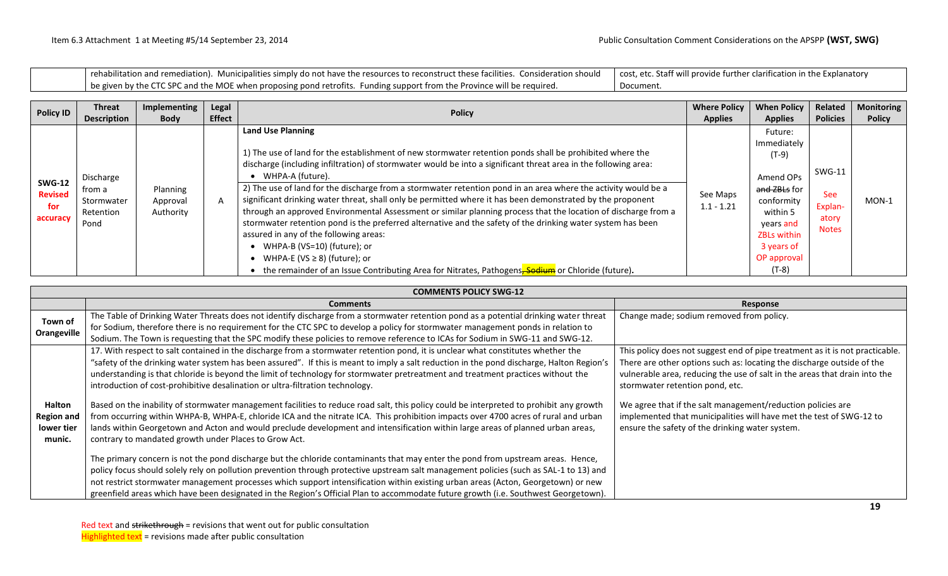rehabilitation and remediation). Municipalities simply do not have the resources to reconstruct these facilities. Consideration should be given by the CTC SPC and the MOE when proposing pond retrofits. Funding support from the Province will be required. cost, etc. Staff will provide further clarification in the Explanatory Document.

| <b>Policy ID</b>                                   | <b>Threat</b>                                          | Implementing                      | Legal         | <b>Policy</b>                                                                                                                                                                                                                                                                                                                                                                                                                                                                                                                                                                                                                                                                                                                                                                                                                                                                                                                                                   | <b>Where Policy</b>      | <b>When Policy</b>                                                                                                                                           | Related                                           | <b>Monitoring</b> |
|----------------------------------------------------|--------------------------------------------------------|-----------------------------------|---------------|-----------------------------------------------------------------------------------------------------------------------------------------------------------------------------------------------------------------------------------------------------------------------------------------------------------------------------------------------------------------------------------------------------------------------------------------------------------------------------------------------------------------------------------------------------------------------------------------------------------------------------------------------------------------------------------------------------------------------------------------------------------------------------------------------------------------------------------------------------------------------------------------------------------------------------------------------------------------|--------------------------|--------------------------------------------------------------------------------------------------------------------------------------------------------------|---------------------------------------------------|-------------------|
|                                                    | <b>Description</b>                                     | <b>Body</b>                       | <b>Effect</b> |                                                                                                                                                                                                                                                                                                                                                                                                                                                                                                                                                                                                                                                                                                                                                                                                                                                                                                                                                                 | <b>Applies</b>           | <b>Applies</b>                                                                                                                                               | <b>Policies</b>                                   | <b>Policy</b>     |
| <b>SWG-12</b><br><b>Revised</b><br>for<br>accuracy | Discharge<br>from a<br>Stormwater<br>Retention<br>Pond | Planning<br>Approval<br>Authority | $\mathsf{A}$  | <b>Land Use Planning</b><br>1) The use of land for the establishment of new stormwater retention ponds shall be prohibited where the<br>discharge (including infiltration) of stormwater would be into a significant threat area in the following area:<br>WHPA-A (future).<br>2) The use of land for the discharge from a stormwater retention pond in an area where the activity would be a<br>significant drinking water threat, shall only be permitted where it has been demonstrated by the proponent<br>through an approved Environmental Assessment or similar planning process that the location of discharge from a<br>stormwater retention pond is the preferred alternative and the safety of the drinking water system has been<br>assured in any of the following areas:<br>WHPA-B (VS=10) (future); or<br>WHPA-E (VS $\geq$ 8) (future); or<br>the remainder of an Issue Contributing Area for Nitrates, Pathogens, Sodium or Chloride (future). | See Maps<br>$1.1 - 1.21$ | Future:<br>Immediately<br>$(T-9)$<br>Amend OPs<br>and ZBLs for<br>conformity<br>within 5<br>years and<br>ZBLs within<br>3 years of<br>OP approval<br>$(T-8)$ | SWG-11<br>See<br>Explan-<br>atory<br><b>Notes</b> | $MON-1$           |

|                                                     | <b>COMMENTS POLICY SWG-12</b>                                                                                                                                                                                                                                                                                                                                                                                                                                                                                                                                                                                                                                                                                                                                                                                                                                                                                                                                                    |                                                                                                                                                                                                                                                                                                                                                                                                                                                                  |  |  |  |  |  |  |  |  |
|-----------------------------------------------------|----------------------------------------------------------------------------------------------------------------------------------------------------------------------------------------------------------------------------------------------------------------------------------------------------------------------------------------------------------------------------------------------------------------------------------------------------------------------------------------------------------------------------------------------------------------------------------------------------------------------------------------------------------------------------------------------------------------------------------------------------------------------------------------------------------------------------------------------------------------------------------------------------------------------------------------------------------------------------------|------------------------------------------------------------------------------------------------------------------------------------------------------------------------------------------------------------------------------------------------------------------------------------------------------------------------------------------------------------------------------------------------------------------------------------------------------------------|--|--|--|--|--|--|--|--|
|                                                     | <b>Comments</b>                                                                                                                                                                                                                                                                                                                                                                                                                                                                                                                                                                                                                                                                                                                                                                                                                                                                                                                                                                  | Response                                                                                                                                                                                                                                                                                                                                                                                                                                                         |  |  |  |  |  |  |  |  |
| Town of<br>Orangeville                              | The Table of Drinking Water Threats does not identify discharge from a stormwater retention pond as a potential drinking water threat<br>for Sodium, therefore there is no requirement for the CTC SPC to develop a policy for stormwater management ponds in relation to<br>Sodium. The Town is requesting that the SPC modify these policies to remove reference to ICAs for Sodium in SWG-11 and SWG-12.                                                                                                                                                                                                                                                                                                                                                                                                                                                                                                                                                                      | Change made; sodium removed from policy.                                                                                                                                                                                                                                                                                                                                                                                                                         |  |  |  |  |  |  |  |  |
| Halton<br><b>Region and</b><br>lower tier<br>munic. | 17. With respect to salt contained in the discharge from a stormwater retention pond, it is unclear what constitutes whether the<br>"safety of the drinking water system has been assured". If this is meant to imply a salt reduction in the pond discharge, Halton Region's<br>understanding is that chloride is beyond the limit of technology for stormwater pretreatment and treatment practices without the<br>introduction of cost-prohibitive desalination or ultra-filtration technology.<br>Based on the inability of stormwater management facilities to reduce road salt, this policy could be interpreted to prohibit any growth<br>from occurring within WHPA-B, WHPA-E, chloride ICA and the nitrate ICA. This prohibition impacts over 4700 acres of rural and urban<br>lands within Georgetown and Acton and would preclude development and intensification within large areas of planned urban areas,<br>contrary to mandated growth under Places to Grow Act. | This policy does not suggest end of pipe treatment as it is not practicable.<br>There are other options such as: locating the discharge outside of the<br>vulnerable area, reducing the use of salt in the areas that drain into the<br>stormwater retention pond, etc.<br>We agree that if the salt management/reduction policies are<br>implemented that municipalities will have met the test of SWG-12 to<br>ensure the safety of the drinking water system. |  |  |  |  |  |  |  |  |
|                                                     | The primary concern is not the pond discharge but the chloride contaminants that may enter the pond from upstream areas. Hence,<br>policy focus should solely rely on pollution prevention through protective upstream salt management policies (such as SAL-1 to 13) and<br>not restrict stormwater management processes which support intensification within existing urban areas (Acton, Georgetown) or new<br>greenfield areas which have been designated in the Region's Official Plan to accommodate future growth (i.e. Southwest Georgetown).                                                                                                                                                                                                                                                                                                                                                                                                                            |                                                                                                                                                                                                                                                                                                                                                                                                                                                                  |  |  |  |  |  |  |  |  |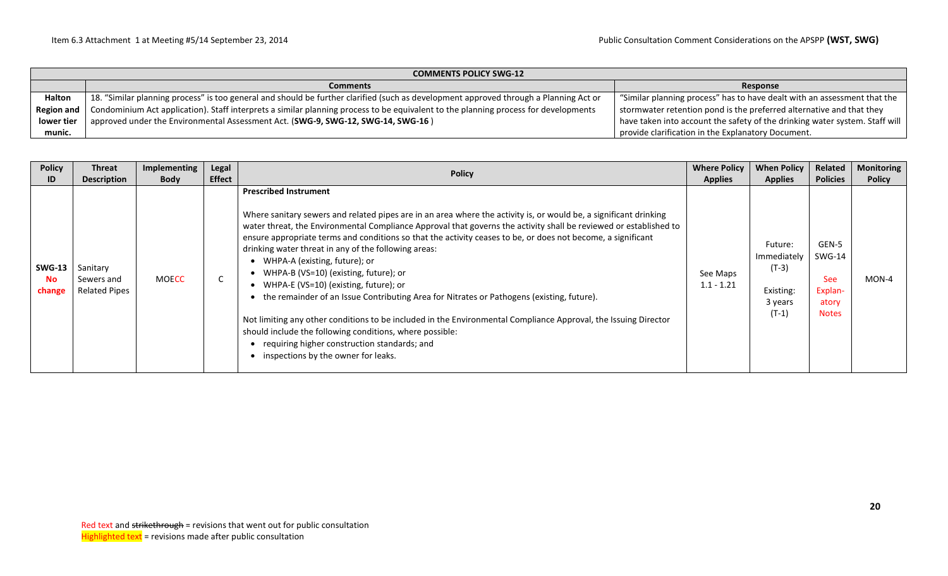|                   | <b>COMMENTS POLICY SWG-12</b>                                                                                                         |                                                                             |  |  |  |  |  |  |  |
|-------------------|---------------------------------------------------------------------------------------------------------------------------------------|-----------------------------------------------------------------------------|--|--|--|--|--|--|--|
|                   | <b>Comments</b>                                                                                                                       | Response                                                                    |  |  |  |  |  |  |  |
| <b>Halton</b>     | 18. "Similar planning process" is too general and should be further clarified (such as development approved through a Planning Act or | "Similar planning process" has to have dealt with an assessment that the    |  |  |  |  |  |  |  |
| <b>Region and</b> | Condominium Act application). Staff interprets a similar planning process to be equivalent to the planning process for developments   | stormwater retention pond is the preferred alternative and that they        |  |  |  |  |  |  |  |
| lower tier        | approved under the Environmental Assessment Act. (SWG-9, SWG-12, SWG-14, SWG-16)                                                      | have taken into account the safety of the drinking water system. Staff will |  |  |  |  |  |  |  |
| munic.            |                                                                                                                                       | provide clarification in the Explanatory Document.                          |  |  |  |  |  |  |  |

| <b>Policy</b>                        | Threat                                         | Implementing | Legal         | <b>Policy</b>                                                                                                                                                                                                                                                                                                                                                                                                                                                                                                                                                                                                                                                                                                                                                                                                                                                                                                                          | <b>Where Policy</b>      | <b>When Policy</b>                                                   | Related                                                           | <b>Monitoring</b> |
|--------------------------------------|------------------------------------------------|--------------|---------------|----------------------------------------------------------------------------------------------------------------------------------------------------------------------------------------------------------------------------------------------------------------------------------------------------------------------------------------------------------------------------------------------------------------------------------------------------------------------------------------------------------------------------------------------------------------------------------------------------------------------------------------------------------------------------------------------------------------------------------------------------------------------------------------------------------------------------------------------------------------------------------------------------------------------------------------|--------------------------|----------------------------------------------------------------------|-------------------------------------------------------------------|-------------------|
| ID                                   | <b>Description</b>                             | <b>Body</b>  | <b>Effect</b> |                                                                                                                                                                                                                                                                                                                                                                                                                                                                                                                                                                                                                                                                                                                                                                                                                                                                                                                                        | <b>Applies</b>           | <b>Applies</b>                                                       | <b>Policies</b>                                                   | <b>Policy</b>     |
| <b>SWG-13</b><br><b>No</b><br>change | Sanitary<br>Sewers and<br><b>Related Pipes</b> | <b>MOECC</b> | C             | <b>Prescribed Instrument</b><br>Where sanitary sewers and related pipes are in an area where the activity is, or would be, a significant drinking<br>water threat, the Environmental Compliance Approval that governs the activity shall be reviewed or established to<br>ensure appropriate terms and conditions so that the activity ceases to be, or does not become, a significant<br>drinking water threat in any of the following areas:<br>WHPA-A (existing, future); or<br>• WHPA-B (VS=10) (existing, future); or<br>WHPA-E (VS=10) (existing, future); or<br>the remainder of an Issue Contributing Area for Nitrates or Pathogens (existing, future).<br>Not limiting any other conditions to be included in the Environmental Compliance Approval, the Issuing Director<br>should include the following conditions, where possible:<br>requiring higher construction standards; and<br>inspections by the owner for leaks. | See Maps<br>$1.1 - 1.21$ | Future:<br>Immediately<br>$(T-3)$<br>Existing:<br>3 years<br>$(T-1)$ | GEN-5<br>SWG-14<br><b>See</b><br>Explan-<br>atory<br><b>Notes</b> | MON-4             |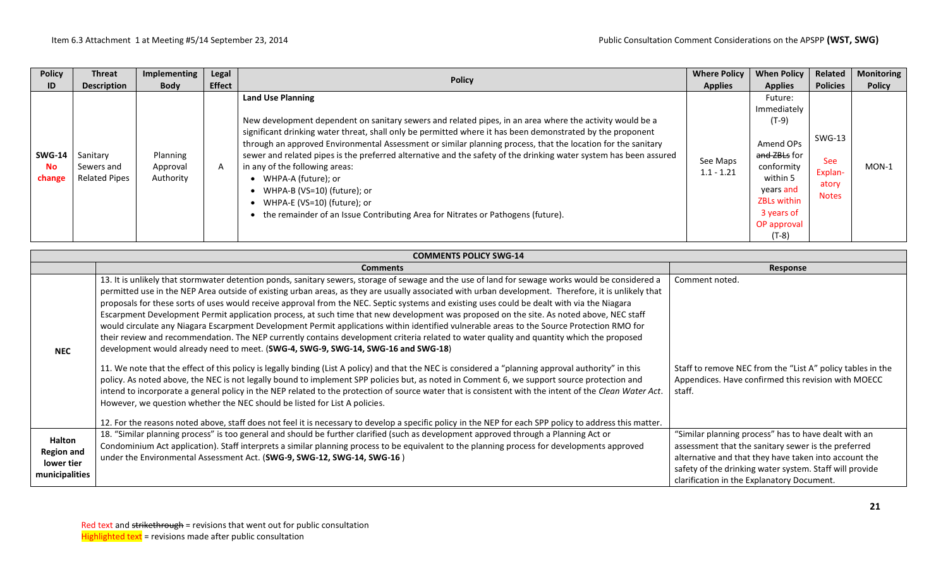| <b>Policy</b>                 | <b>Threat</b>                                  | Implementing                      | Legal         | <b>Policy</b>                                                                                                                                                                                                                                                                                                                                                                                                                                                                                                                                                                                                                                                                                     | <b>Where Policy</b>      | <b>When Policy</b>                                                                                                                                                             | Related                                                  | <b>Monitoring</b> |
|-------------------------------|------------------------------------------------|-----------------------------------|---------------|---------------------------------------------------------------------------------------------------------------------------------------------------------------------------------------------------------------------------------------------------------------------------------------------------------------------------------------------------------------------------------------------------------------------------------------------------------------------------------------------------------------------------------------------------------------------------------------------------------------------------------------------------------------------------------------------------|--------------------------|--------------------------------------------------------------------------------------------------------------------------------------------------------------------------------|----------------------------------------------------------|-------------------|
| ID                            | <b>Description</b>                             | <b>Body</b>                       | <b>Effect</b> |                                                                                                                                                                                                                                                                                                                                                                                                                                                                                                                                                                                                                                                                                                   | <b>Applies</b>           | <b>Applies</b>                                                                                                                                                                 | <b>Policies</b>                                          | <b>Policy</b>     |
| <b>SWG-14</b><br>No<br>change | Sanitary<br>Sewers and<br><b>Related Pipes</b> | Planning<br>Approval<br>Authority | A             | <b>Land Use Planning</b><br>New development dependent on sanitary sewers and related pipes, in an area where the activity would be a<br>significant drinking water threat, shall only be permitted where it has been demonstrated by the proponent<br>through an approved Environmental Assessment or similar planning process, that the location for the sanitary<br>sewer and related pipes is the preferred alternative and the safety of the drinking water system has been assured<br>in any of the following areas:<br>WHPA-A (future); or<br>WHPA-B (VS=10) (future); or<br>WHPA-E (VS=10) (future); or<br>the remainder of an Issue Contributing Area for Nitrates or Pathogens (future). | See Maps<br>$1.1 - 1.21$ | Future:<br>Immediately<br>$(T-9)$<br>Amend OPs<br><del>and ZBLs</del> for<br>conformity<br>within 5<br>years and<br><b>ZBLs within</b><br>3 years of<br>OP approval<br>$(T-8)$ | SWG-13<br><b>See</b><br>Explan-<br>atory<br><b>Notes</b> | $MON-1$           |

|                                                                    | <b>COMMENTS POLICY SWG-14</b>                                                                                                                                                                                                                                                                                                                                                                                                                                                                                                                                                                                                                                                                                                                                                                                                                                                                                                                                                                                                                                                                                                                                                                                                                                                                                                                                                                                                                                                                                                       |                                                                                                                                                                                                                                                                               |  |  |  |  |  |  |  |
|--------------------------------------------------------------------|-------------------------------------------------------------------------------------------------------------------------------------------------------------------------------------------------------------------------------------------------------------------------------------------------------------------------------------------------------------------------------------------------------------------------------------------------------------------------------------------------------------------------------------------------------------------------------------------------------------------------------------------------------------------------------------------------------------------------------------------------------------------------------------------------------------------------------------------------------------------------------------------------------------------------------------------------------------------------------------------------------------------------------------------------------------------------------------------------------------------------------------------------------------------------------------------------------------------------------------------------------------------------------------------------------------------------------------------------------------------------------------------------------------------------------------------------------------------------------------------------------------------------------------|-------------------------------------------------------------------------------------------------------------------------------------------------------------------------------------------------------------------------------------------------------------------------------|--|--|--|--|--|--|--|
|                                                                    | <b>Comments</b>                                                                                                                                                                                                                                                                                                                                                                                                                                                                                                                                                                                                                                                                                                                                                                                                                                                                                                                                                                                                                                                                                                                                                                                                                                                                                                                                                                                                                                                                                                                     | Response                                                                                                                                                                                                                                                                      |  |  |  |  |  |  |  |
| <b>NEC</b>                                                         | 13. It is unlikely that stormwater detention ponds, sanitary sewers, storage of sewage and the use of land for sewage works would be considered a<br>permitted use in the NEP Area outside of existing urban areas, as they are usually associated with urban development. Therefore, it is unlikely that<br>proposals for these sorts of uses would receive approval from the NEC. Septic systems and existing uses could be dealt with via the Niagara<br>Escarpment Development Permit application process, at such time that new development was proposed on the site. As noted above, NEC staff<br>would circulate any Niagara Escarpment Development Permit applications within identified vulnerable areas to the Source Protection RMO for<br>their review and recommendation. The NEP currently contains development criteria related to water quality and quantity which the proposed<br>development would already need to meet. (SWG-4, SWG-9, SWG-14, SWG-16 and SWG-18)<br>11. We note that the effect of this policy is legally binding (List A policy) and that the NEC is considered a "planning approval authority" in this<br>policy. As noted above, the NEC is not legally bound to implement SPP policies but, as noted in Comment 6, we support source protection and<br>intend to incorporate a general policy in the NEP related to the protection of source water that is consistent with the intent of the Clean Water Act.<br>However, we question whether the NEC should be listed for List A policies. | Comment noted.<br>Staff to remove NEC from the "List A" policy tables in the<br>Appendices. Have confirmed this revision with MOECC<br>staff.                                                                                                                                 |  |  |  |  |  |  |  |
|                                                                    | 12. For the reasons noted above, staff does not feel it is necessary to develop a specific policy in the NEP for each SPP policy to address this matter.                                                                                                                                                                                                                                                                                                                                                                                                                                                                                                                                                                                                                                                                                                                                                                                                                                                                                                                                                                                                                                                                                                                                                                                                                                                                                                                                                                            |                                                                                                                                                                                                                                                                               |  |  |  |  |  |  |  |
| <b>Halton</b><br><b>Region and</b><br>lower tier<br>municipalities | 18. "Similar planning process" is too general and should be further clarified (such as development approved through a Planning Act or<br>Condominium Act application). Staff interprets a similar planning process to be equivalent to the planning process for developments approved<br>under the Environmental Assessment Act. (SWG-9, SWG-12, SWG-14, SWG-16)                                                                                                                                                                                                                                                                                                                                                                                                                                                                                                                                                                                                                                                                                                                                                                                                                                                                                                                                                                                                                                                                                                                                                                    | "Similar planning process" has to have dealt with an<br>assessment that the sanitary sewer is the preferred<br>alternative and that they have taken into account the<br>safety of the drinking water system. Staff will provide<br>clarification in the Explanatory Document. |  |  |  |  |  |  |  |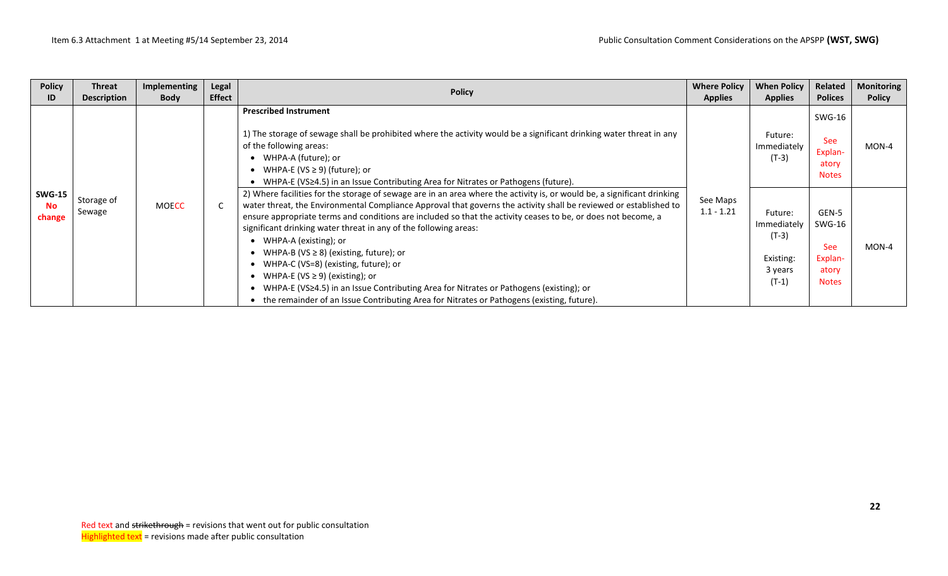| <b>Policy</b><br>ID                  | Threat<br><b>Description</b> | <b>Implementing</b><br><b>Body</b> | Legal<br><b>Effect</b> | <b>Policy</b>                                                                                                                                                                                                                                                                                                                                                                                                                                                                                                                                                                                                                                                                                                                                                                     | <b>Where Policy</b><br><b>Applies</b> | <b>When Policy</b><br><b>Applies</b>                                 | Related<br><b>Polices</b>                                         | <b>Monitoring</b><br><b>Policy</b> |
|--------------------------------------|------------------------------|------------------------------------|------------------------|-----------------------------------------------------------------------------------------------------------------------------------------------------------------------------------------------------------------------------------------------------------------------------------------------------------------------------------------------------------------------------------------------------------------------------------------------------------------------------------------------------------------------------------------------------------------------------------------------------------------------------------------------------------------------------------------------------------------------------------------------------------------------------------|---------------------------------------|----------------------------------------------------------------------|-------------------------------------------------------------------|------------------------------------|
|                                      |                              |                                    |                        | <b>Prescribed Instrument</b><br>1) The storage of sewage shall be prohibited where the activity would be a significant drinking water threat in any<br>of the following areas:<br>WHPA-A (future); or<br>WHPA-E (VS $\geq$ 9) (future); or<br>WHPA-E (VS≥4.5) in an Issue Contributing Area for Nitrates or Pathogens (future).                                                                                                                                                                                                                                                                                                                                                                                                                                                   |                                       | Future:<br>Immediately<br>$(T-3)$                                    | SWG-16<br><b>See</b><br>Explan-<br>atory<br><b>Notes</b>          | $MON-4$                            |
| <b>SWG-15</b><br><b>No</b><br>change | Storage of<br>Sewage         | <b>MOECC</b>                       | $\mathsf{C}$           | 2) Where facilities for the storage of sewage are in an area where the activity is, or would be, a significant drinking<br>water threat, the Environmental Compliance Approval that governs the activity shall be reviewed or established to<br>ensure appropriate terms and conditions are included so that the activity ceases to be, or does not become, a<br>significant drinking water threat in any of the following areas:<br>WHPA-A (existing); or<br>WHPA-B (VS $\geq$ 8) (existing, future); or<br>WHPA-C (VS=8) (existing, future); or<br>• WHPA-E (VS $\geq$ 9) (existing); or<br>WHPA-E (VS≥4.5) in an Issue Contributing Area for Nitrates or Pathogens (existing); or<br>the remainder of an Issue Contributing Area for Nitrates or Pathogens (existing, future). | See Maps<br>$1.1 - 1.21$              | Future:<br>Immediately<br>$(T-3)$<br>Existing:<br>3 years<br>$(T-1)$ | GEN-5<br>SWG-16<br><b>See</b><br>Explan-<br>atory<br><b>Notes</b> | MON-4                              |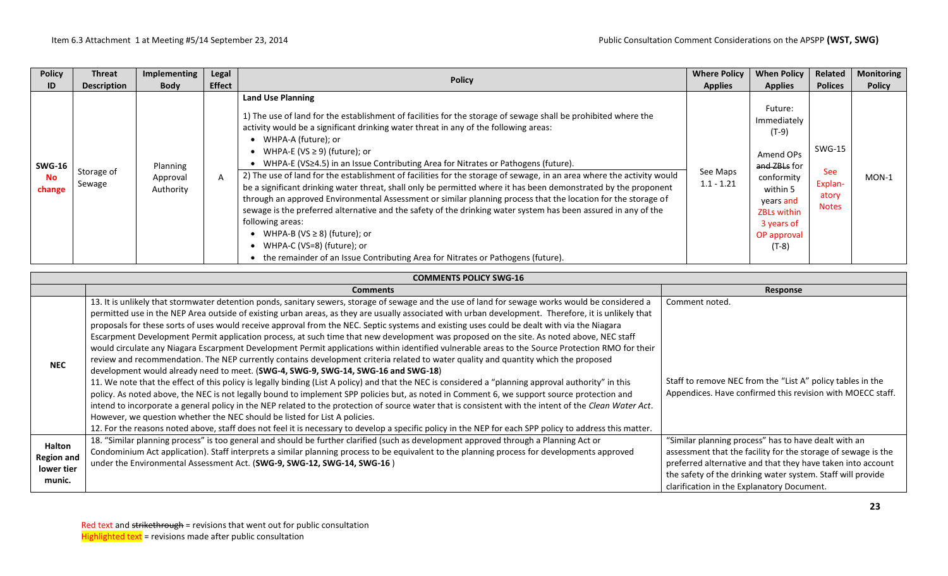| <b>Policy</b>                        | Threat               | Implementing                      | Legal         | <b>Policy</b>                                                                                                                                                                                                                                                                                                                                                                                                                                                                                                                                                                                                                                                                                                                                                                                                                                                                                                                                                                                                                                  | <b>Where Policy</b>      | <b>When Policy</b>                                                                                                                                                  | Related                                                  | <b>Monitoring</b> |
|--------------------------------------|----------------------|-----------------------------------|---------------|------------------------------------------------------------------------------------------------------------------------------------------------------------------------------------------------------------------------------------------------------------------------------------------------------------------------------------------------------------------------------------------------------------------------------------------------------------------------------------------------------------------------------------------------------------------------------------------------------------------------------------------------------------------------------------------------------------------------------------------------------------------------------------------------------------------------------------------------------------------------------------------------------------------------------------------------------------------------------------------------------------------------------------------------|--------------------------|---------------------------------------------------------------------------------------------------------------------------------------------------------------------|----------------------------------------------------------|-------------------|
| ID                                   | <b>Description</b>   | <b>Body</b>                       | <b>Effect</b> |                                                                                                                                                                                                                                                                                                                                                                                                                                                                                                                                                                                                                                                                                                                                                                                                                                                                                                                                                                                                                                                | <b>Applies</b>           | <b>Applies</b>                                                                                                                                                      | <b>Polices</b>                                           | <b>Policy</b>     |
| <b>SWG-16</b><br><b>No</b><br>change | Storage of<br>Sewage | Planning<br>Approval<br>Authority | A             | <b>Land Use Planning</b><br>1) The use of land for the establishment of facilities for the storage of sewage shall be prohibited where the<br>activity would be a significant drinking water threat in any of the following areas:<br>WHPA-A (future); or<br>WHPA-E (VS $\geq$ 9) (future); or<br>WHPA-E (VS≥4.5) in an Issue Contributing Area for Nitrates or Pathogens (future).<br>2) The use of land for the establishment of facilities for the storage of sewage, in an area where the activity would<br>be a significant drinking water threat, shall only be permitted where it has been demonstrated by the proponent<br>through an approved Environmental Assessment or similar planning process that the location for the storage of<br>sewage is the preferred alternative and the safety of the drinking water system has been assured in any of the<br>following areas:<br>WHPA-B (VS $\geq$ 8) (future); or<br>WHPA-C (VS=8) (future); or<br>• the remainder of an Issue Contributing Area for Nitrates or Pathogens (future). | See Maps<br>$1.1 - 1.21$ | Future:<br>Immediately<br>$(T-9)$<br>Amend OPs<br>and ZBLs for<br>conformity<br>within 5<br>years and<br><b>ZBLs within</b><br>3 years of<br>OP approval<br>$(T-8)$ | SWG-15<br><b>See</b><br>Explan-<br>atory<br><b>Notes</b> | $MON-1$           |

|                                                     | <b>COMMENTS POLICY SWG-16</b>                                                                                                                                                                                                                                                                                                                                                                                                                                                                                                                                                                                                                                                                                                                                                                                                                                                                                                                                                                                                                                                                                                                                                                                                                                                                                                                                                                                                                                                                                                                                                                                                                                                                   |                                                                                                                                                                                                                                                                                                   |
|-----------------------------------------------------|-------------------------------------------------------------------------------------------------------------------------------------------------------------------------------------------------------------------------------------------------------------------------------------------------------------------------------------------------------------------------------------------------------------------------------------------------------------------------------------------------------------------------------------------------------------------------------------------------------------------------------------------------------------------------------------------------------------------------------------------------------------------------------------------------------------------------------------------------------------------------------------------------------------------------------------------------------------------------------------------------------------------------------------------------------------------------------------------------------------------------------------------------------------------------------------------------------------------------------------------------------------------------------------------------------------------------------------------------------------------------------------------------------------------------------------------------------------------------------------------------------------------------------------------------------------------------------------------------------------------------------------------------------------------------------------------------|---------------------------------------------------------------------------------------------------------------------------------------------------------------------------------------------------------------------------------------------------------------------------------------------------|
|                                                     | <b>Comments</b>                                                                                                                                                                                                                                                                                                                                                                                                                                                                                                                                                                                                                                                                                                                                                                                                                                                                                                                                                                                                                                                                                                                                                                                                                                                                                                                                                                                                                                                                                                                                                                                                                                                                                 | Response                                                                                                                                                                                                                                                                                          |
| <b>NEC</b>                                          | 13. It is unlikely that stormwater detention ponds, sanitary sewers, storage of sewage and the use of land for sewage works would be considered a<br>permitted use in the NEP Area outside of existing urban areas, as they are usually associated with urban development. Therefore, it is unlikely that<br>proposals for these sorts of uses would receive approval from the NEC. Septic systems and existing uses could be dealt with via the Niagara<br>Escarpment Development Permit application process, at such time that new development was proposed on the site. As noted above, NEC staff<br>would circulate any Niagara Escarpment Development Permit applications within identified vulnerable areas to the Source Protection RMO for their<br>review and recommendation. The NEP currently contains development criteria related to water quality and quantity which the proposed<br>development would already need to meet. (SWG-4, SWG-9, SWG-14, SWG-16 and SWG-18)<br>11. We note that the effect of this policy is legally binding (List A policy) and that the NEC is considered a "planning approval authority" in this<br>policy. As noted above, the NEC is not legally bound to implement SPP policies but, as noted in Comment 6, we support source protection and<br>intend to incorporate a general policy in the NEP related to the protection of source water that is consistent with the intent of the Clean Water Act.<br>However, we question whether the NEC should be listed for List A policies.<br>12. For the reasons noted above, staff does not feel it is necessary to develop a specific policy in the NEP for each SPP policy to address this matter. | Comment noted.<br>Staff to remove NEC from the "List A" policy tables in the<br>Appendices. Have confirmed this revision with MOECC staff.                                                                                                                                                        |
| Halton<br><b>Region and</b><br>lower tier<br>munic. | 18. "Similar planning process" is too general and should be further clarified (such as development approved through a Planning Act or<br>Condominium Act application). Staff interprets a similar planning process to be equivalent to the planning process for developments approved<br>under the Environmental Assessment Act. (SWG-9, SWG-12, SWG-14, SWG-16)                                                                                                                                                                                                                                                                                                                                                                                                                                                                                                                                                                                                                                                                                                                                                                                                                                                                                                                                                                                                                                                                                                                                                                                                                                                                                                                                | "Similar planning process" has to have dealt with an<br>assessment that the facility for the storage of sewage is the<br>preferred alternative and that they have taken into account<br>the safety of the drinking water system. Staff will provide<br>clarification in the Explanatory Document. |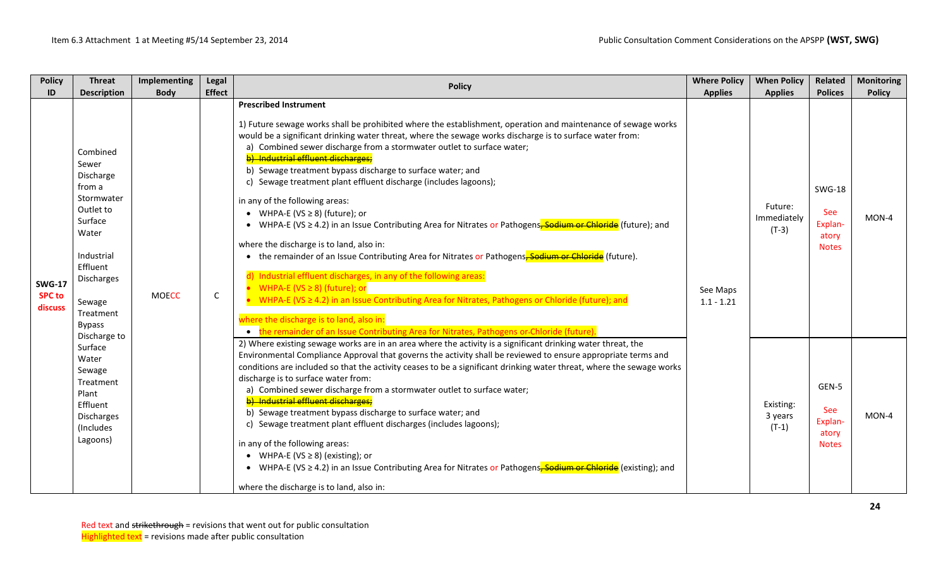| <b>Policy</b>                             | <b>Threat</b>                                                                                                                                                                           | Implementing | Legal         | <b>Policy</b>                                                                                                                                                                                                                                                                                                                                                                                                                                                                                                                                                                                                                                                                                                                                                                                                                                                                                                                                                                                                                                                                                                                                                                                                                      | <b>Where Policy</b>      | <b>When Policy</b>                | Related                                                         | <b>Monitoring</b> |
|-------------------------------------------|-----------------------------------------------------------------------------------------------------------------------------------------------------------------------------------------|--------------|---------------|------------------------------------------------------------------------------------------------------------------------------------------------------------------------------------------------------------------------------------------------------------------------------------------------------------------------------------------------------------------------------------------------------------------------------------------------------------------------------------------------------------------------------------------------------------------------------------------------------------------------------------------------------------------------------------------------------------------------------------------------------------------------------------------------------------------------------------------------------------------------------------------------------------------------------------------------------------------------------------------------------------------------------------------------------------------------------------------------------------------------------------------------------------------------------------------------------------------------------------|--------------------------|-----------------------------------|-----------------------------------------------------------------|-------------------|
| ID                                        | <b>Description</b>                                                                                                                                                                      | <b>Body</b>  | <b>Effect</b> |                                                                                                                                                                                                                                                                                                                                                                                                                                                                                                                                                                                                                                                                                                                                                                                                                                                                                                                                                                                                                                                                                                                                                                                                                                    | <b>Applies</b>           | <b>Applies</b>                    | <b>Polices</b>                                                  | <b>Policy</b>     |
| <b>SWG-17</b><br><b>SPC to</b><br>discuss | Combined<br>Sewer<br>Discharge<br>from a<br>Stormwater<br>Outlet to<br>Surface<br>Water<br>Industrial<br>Effluent<br>Discharges<br>Sewage<br>Treatment<br><b>Bypass</b><br>Discharge to | <b>MOECC</b> | $\mathsf{C}$  | <b>Prescribed Instrument</b><br>1) Future sewage works shall be prohibited where the establishment, operation and maintenance of sewage works<br>would be a significant drinking water threat, where the sewage works discharge is to surface water from:<br>a) Combined sewer discharge from a stormwater outlet to surface water;<br>b) Industrial effluent discharges;<br>b) Sewage treatment bypass discharge to surface water; and<br>c) Sewage treatment plant effluent discharge (includes lagoons);<br>in any of the following areas:<br>• WHPA-E (VS $\geq$ 8) (future); or<br>• WHPA-E (VS ≥ 4.2) in an Issue Contributing Area for Nitrates or Pathogens <del>, Sodium or Chloride</del> (future); and<br>where the discharge is to land, also in:<br>• the remainder of an Issue Contributing Area for Nitrates or Pathogens, Sodium or Chloride (future).<br>d) Industrial effluent discharges, in any of the following areas:<br>WHPA-E (VS $\geq$ 8) (future); or<br>WHPA-E (VS $\geq$ 4.2) in an Issue Contributing Area for Nitrates, Pathogens or Chloride (future); and<br>where the discharge is to land, also in:<br>the remainder of an Issue Contributing Area for Nitrates, Pathogens or-Chloride (future) | See Maps<br>$1.1 - 1.21$ | Future:<br>Immediately<br>$(T-3)$ | <b>SWG-18</b><br><b>See</b><br>Explan-<br>atory<br><b>Notes</b> | MON-4             |
|                                           | Surface<br>Water<br>Sewage<br>Treatment<br>Plant<br>Effluent<br>Discharges<br>(Includes<br>Lagoons)                                                                                     |              |               | 2) Where existing sewage works are in an area where the activity is a significant drinking water threat, the<br>Environmental Compliance Approval that governs the activity shall be reviewed to ensure appropriate terms and<br>conditions are included so that the activity ceases to be a significant drinking water threat, where the sewage works<br>discharge is to surface water from:<br>a) Combined sewer discharge from a stormwater outlet to surface water;<br>b) Industrial effluent discharges;<br>b) Sewage treatment bypass discharge to surface water; and<br>c) Sewage treatment plant effluent discharges (includes lagoons);<br>in any of the following areas:<br>• WHPA-E (VS $\geq$ 8) (existing); or<br>• WHPA-E (VS ≥ 4.2) in an Issue Contributing Area for Nitrates or Pathogens <del>, Sodium or Chloride</del> (existing); and<br>where the discharge is to land, also in:                                                                                                                                                                                                                                                                                                                             |                          | Existing:<br>3 years<br>$(T-1)$   | GEN-5<br><b>See</b><br>Explan-<br>atory<br><b>Notes</b>         | MON-4             |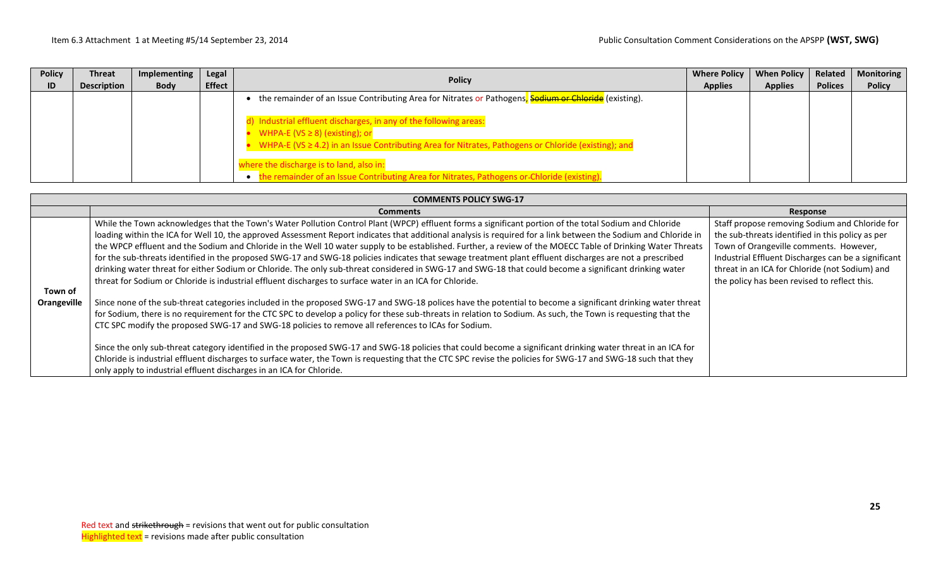| <b>Policy</b><br>ID | Threat<br><b>Description</b> | Implementing<br><b>Body</b> | Legal<br><b>Effect</b> | <b>Policy</b>                                                                                                                                                                                                      | <b>Where Policy</b><br><b>Applies</b> | <b>When Policy</b><br><b>Applies</b> | Related<br><b>Polices</b> | <b>Monitoring</b><br><b>Policy</b> |
|---------------------|------------------------------|-----------------------------|------------------------|--------------------------------------------------------------------------------------------------------------------------------------------------------------------------------------------------------------------|---------------------------------------|--------------------------------------|---------------------------|------------------------------------|
|                     |                              |                             |                        | the remainder of an Issue Contributing Area for Nitrates or Pathogens, Sodium or Chloride (existing).                                                                                                              |                                       |                                      |                           |                                    |
|                     |                              |                             |                        | Industrial effluent discharges, in any of the following areas:<br>WHPA-E ( $VS \ge 8$ ) (existing); or<br>WHPA-E (VS $\geq$ 4.2) in an Issue Contributing Area for Nitrates, Pathogens or Chloride (existing); and |                                       |                                      |                           |                                    |
|                     |                              |                             |                        | here the discharge is to land, also in:<br>the remainder of an Issue Contributing Area for Nitrates, Pathogens or-Chloride (existing).                                                                             |                                       |                                      |                           |                                    |

|                        | <b>COMMENTS POLICY SWG-17</b>                                                                                                                                                                                                                                                                                                                                                                                                                                                                                                                                                                                                                                                                                                                                                                                                                                                                                                                                                                                                                                                                                                                                                                                                                                                                                                                                                                                                                                                                                                                                                                                                                                                                                                                                               |                                                                                                                                                                                                                                                                                                       |  |  |  |  |  |  |  |  |
|------------------------|-----------------------------------------------------------------------------------------------------------------------------------------------------------------------------------------------------------------------------------------------------------------------------------------------------------------------------------------------------------------------------------------------------------------------------------------------------------------------------------------------------------------------------------------------------------------------------------------------------------------------------------------------------------------------------------------------------------------------------------------------------------------------------------------------------------------------------------------------------------------------------------------------------------------------------------------------------------------------------------------------------------------------------------------------------------------------------------------------------------------------------------------------------------------------------------------------------------------------------------------------------------------------------------------------------------------------------------------------------------------------------------------------------------------------------------------------------------------------------------------------------------------------------------------------------------------------------------------------------------------------------------------------------------------------------------------------------------------------------------------------------------------------------|-------------------------------------------------------------------------------------------------------------------------------------------------------------------------------------------------------------------------------------------------------------------------------------------------------|--|--|--|--|--|--|--|--|
|                        | <b>Comments</b>                                                                                                                                                                                                                                                                                                                                                                                                                                                                                                                                                                                                                                                                                                                                                                                                                                                                                                                                                                                                                                                                                                                                                                                                                                                                                                                                                                                                                                                                                                                                                                                                                                                                                                                                                             | Response                                                                                                                                                                                                                                                                                              |  |  |  |  |  |  |  |  |
| Town of<br>Orangeville | While the Town acknowledges that the Town's Water Pollution Control Plant (WPCP) effluent forms a significant portion of the total Sodium and Chloride<br>loading within the ICA for Well 10, the approved Assessment Report indicates that additional analysis is required for a link between the Sodium and Chloride in<br>the WPCP effluent and the Sodium and Chloride in the Well 10 water supply to be established. Further, a review of the MOECC Table of Drinking Water Threats<br>for the sub-threats identified in the proposed SWG-17 and SWG-18 policies indicates that sewage treatment plant effluent discharges are not a prescribed<br>drinking water threat for either Sodium or Chloride. The only sub-threat considered in SWG-17 and SWG-18 that could become a significant drinking water<br>threat for Sodium or Chloride is industrial effluent discharges to surface water in an ICA for Chloride.<br>Since none of the sub-threat categories included in the proposed SWG-17 and SWG-18 polices have the potential to become a significant drinking water threat<br>for Sodium, there is no requirement for the CTC SPC to develop a policy for these sub-threats in relation to Sodium. As such, the Town is requesting that the<br>CTC SPC modify the proposed SWG-17 and SWG-18 policies to remove all references to ICAs for Sodium.<br>Since the only sub-threat category identified in the proposed SWG-17 and SWG-18 policies that could become a significant drinking water threat in an ICA for<br>Chloride is industrial effluent discharges to surface water, the Town is requesting that the CTC SPC revise the policies for SWG-17 and SWG-18 such that they<br>only apply to industrial effluent discharges in an ICA for Chloride. | Staff propose removing Sodium and Chloride for<br>the sub-threats identified in this policy as per<br>Town of Orangeville comments. However,<br>Industrial Effluent Discharges can be a significant<br>threat in an ICA for Chloride (not Sodium) and<br>the policy has been revised to reflect this. |  |  |  |  |  |  |  |  |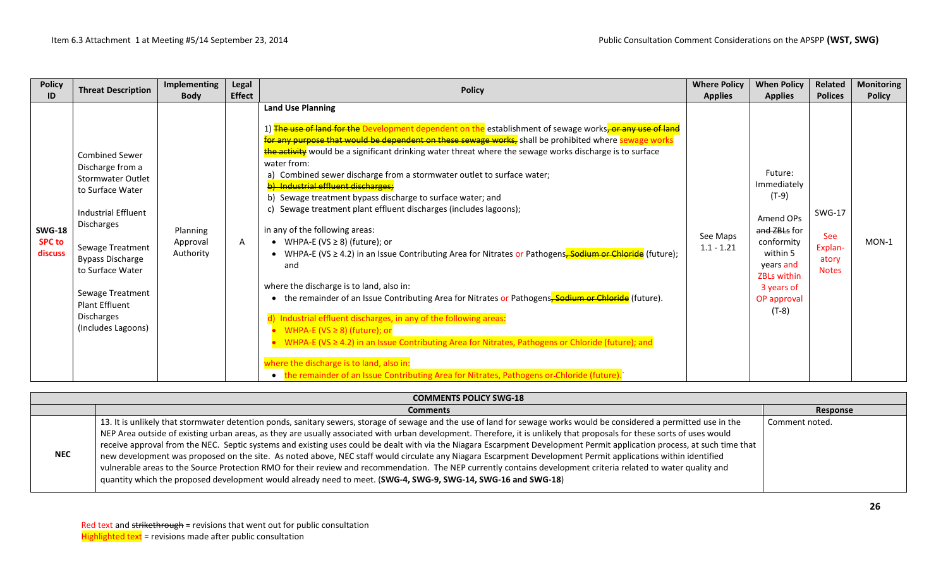| <b>Policy</b>                             | <b>Threat Description</b>                                                                                                                                                                                                                                                                 | <b>Implementing</b>               | Legal         | <b>Policy</b>                                                                                                                                                                                                                                                                                                                                                                                                                                                                                                                                                                                                                                                                                                                                                                                                                                                                                                                                                                                                                                                                                                                                                                                                                                                                                                                                                                             | <b>Where Policy</b>      | <b>When Policy</b>                                                                                                                                                  | Related                                                  | <b>Monitoring</b> |
|-------------------------------------------|-------------------------------------------------------------------------------------------------------------------------------------------------------------------------------------------------------------------------------------------------------------------------------------------|-----------------------------------|---------------|-------------------------------------------------------------------------------------------------------------------------------------------------------------------------------------------------------------------------------------------------------------------------------------------------------------------------------------------------------------------------------------------------------------------------------------------------------------------------------------------------------------------------------------------------------------------------------------------------------------------------------------------------------------------------------------------------------------------------------------------------------------------------------------------------------------------------------------------------------------------------------------------------------------------------------------------------------------------------------------------------------------------------------------------------------------------------------------------------------------------------------------------------------------------------------------------------------------------------------------------------------------------------------------------------------------------------------------------------------------------------------------------|--------------------------|---------------------------------------------------------------------------------------------------------------------------------------------------------------------|----------------------------------------------------------|-------------------|
| ID                                        |                                                                                                                                                                                                                                                                                           | <b>Body</b>                       | <b>Effect</b> |                                                                                                                                                                                                                                                                                                                                                                                                                                                                                                                                                                                                                                                                                                                                                                                                                                                                                                                                                                                                                                                                                                                                                                                                                                                                                                                                                                                           | <b>Applies</b>           | <b>Applies</b>                                                                                                                                                      | <b>Polices</b>                                           | <b>Policy</b>     |
| <b>SWG-18</b><br><b>SPC to</b><br>discuss | <b>Combined Sewer</b><br>Discharge from a<br><b>Stormwater Outlet</b><br>to Surface Water<br><b>Industrial Effluent</b><br>Discharges<br>Sewage Treatment<br><b>Bypass Discharge</b><br>to Surface Water<br>Sewage Treatment<br><b>Plant Effluent</b><br>Discharges<br>(Includes Lagoons) | Planning<br>Approval<br>Authority | A             | <b>Land Use Planning</b><br>1) <del>The use of land for the</del> Development dependent on the establishment of sewage works <del>, or any use of land</del><br>for any purpose that would be dependent on these sewage works, shall be prohibited where sewage works<br>the activity would be a significant drinking water threat where the sewage works discharge is to surface<br>water from:<br>Combined sewer discharge from a stormwater outlet to surface water;<br>a)<br>b) Industrial effluent discharges;<br>b) Sewage treatment bypass discharge to surface water; and<br>Sewage treatment plant effluent discharges (includes lagoons);<br>in any of the following areas:<br>• WHPA-E (VS $\geq$ 8) (future); or<br>• WHPA-E (VS ≥ 4.2) in an Issue Contributing Area for Nitrates or Pathogens <del>, Sodium or Chloride</del> (future);<br>and<br>where the discharge is to land, also in:<br>• the remainder of an Issue Contributing Area for Nitrates or Pathogens <sub>r</sub> Sodium or Chloride (future).<br>Industrial effluent discharges, in any of the following areas:<br>WHPA-E (VS $\geq$ 8) (future); or<br>WHPA-E (VS $\geq$ 4.2) in an Issue Contributing Area for Nitrates, Pathogens or Chloride (future); and<br>where the discharge is to land, also in:<br>• the remainder of an Issue Contributing Area for Nitrates, Pathogens or-Chloride (future). | See Maps<br>$1.1 - 1.21$ | Future:<br>Immediately<br>$(T-9)$<br>Amend OPs<br>and ZBLs for<br>conformity<br>within 5<br>years and<br><b>ZBLs within</b><br>3 years of<br>OP approval<br>$(T-8)$ | <b>SWG-17</b><br>See<br>Explan-<br>atory<br><b>Notes</b> | $MON-1$           |

| <b>COMMENTS POLICY SWG-18</b> |                                                                                                                                                                                                                                                                                                                                                                                                                                                                                                                                                                                                                                                                                                                                                                                                                                                                                                                                                                                   |                |  |  |  |  |  |
|-------------------------------|-----------------------------------------------------------------------------------------------------------------------------------------------------------------------------------------------------------------------------------------------------------------------------------------------------------------------------------------------------------------------------------------------------------------------------------------------------------------------------------------------------------------------------------------------------------------------------------------------------------------------------------------------------------------------------------------------------------------------------------------------------------------------------------------------------------------------------------------------------------------------------------------------------------------------------------------------------------------------------------|----------------|--|--|--|--|--|
|                               | <b>Comments</b>                                                                                                                                                                                                                                                                                                                                                                                                                                                                                                                                                                                                                                                                                                                                                                                                                                                                                                                                                                   | Response       |  |  |  |  |  |
| <b>NEC</b>                    | 13. It is unlikely that stormwater detention ponds, sanitary sewers, storage of sewage and the use of land for sewage works would be considered a permitted use in the<br>NEP Area outside of existing urban areas, as they are usually associated with urban development. Therefore, it is unlikely that proposals for these sorts of uses would<br>receive approval from the NEC. Septic systems and existing uses could be dealt with via the Niagara Escarpment Development Permit application process, at such time that<br>new development was proposed on the site. As noted above, NEC staff would circulate any Niagara Escarpment Development Permit applications within identified<br>vulnerable areas to the Source Protection RMO for their review and recommendation. The NEP currently contains development criteria related to water quality and<br>quantity which the proposed development would already need to meet. (SWG-4, SWG-9, SWG-14, SWG-16 and SWG-18) | Comment noted. |  |  |  |  |  |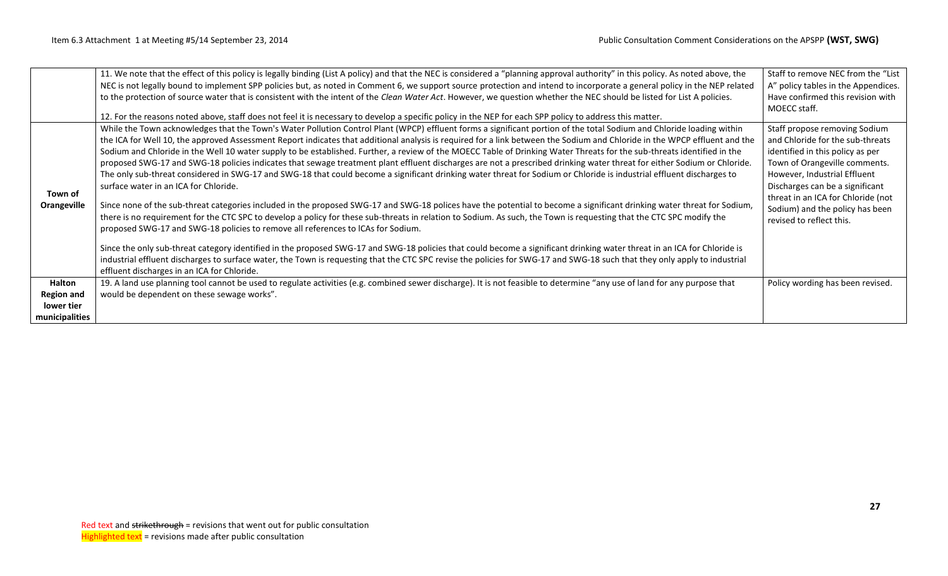|                   | 11. We note that the effect of this policy is legally binding (List A policy) and that the NEC is considered a "planning approval authority" in this policy. As noted above, the | Staff to remove NEC from the "List" |
|-------------------|----------------------------------------------------------------------------------------------------------------------------------------------------------------------------------|-------------------------------------|
|                   | NEC is not legally bound to implement SPP policies but, as noted in Comment 6, we support source protection and intend to incorporate a general policy in the NEP related        | A" policy tables in the Appendices. |
|                   | to the protection of source water that is consistent with the intent of the Clean Water Act. However, we question whether the NEC should be listed for List A policies.          | Have confirmed this revision with   |
|                   |                                                                                                                                                                                  | MOECC staff.                        |
|                   | 12. For the reasons noted above, staff does not feel it is necessary to develop a specific policy in the NEP for each SPP policy to address this matter.                         |                                     |
|                   | While the Town acknowledges that the Town's Water Pollution Control Plant (WPCP) effluent forms a significant portion of the total Sodium and Chloride loading within            | Staff propose removing Sodium       |
|                   | the ICA for Well 10, the approved Assessment Report indicates that additional analysis is required for a link between the Sodium and Chloride in the WPCP effluent and the       | and Chloride for the sub-threats    |
|                   | Sodium and Chloride in the Well 10 water supply to be established. Further, a review of the MOECC Table of Drinking Water Threats for the sub-threats identified in the          | identified in this policy as per    |
|                   | proposed SWG-17 and SWG-18 policies indicates that sewage treatment plant effluent discharges are not a prescribed drinking water threat for either Sodium or Chloride.          | Town of Orangeville comments.       |
|                   | The only sub-threat considered in SWG-17 and SWG-18 that could become a significant drinking water threat for Sodium or Chloride is industrial effluent discharges to            | However, Industrial Effluent        |
|                   | surface water in an ICA for Chloride.                                                                                                                                            | Discharges can be a significant     |
| Town of           |                                                                                                                                                                                  | threat in an ICA for Chloride (not  |
| Orangeville       | Since none of the sub-threat categories included in the proposed SWG-17 and SWG-18 polices have the potential to become a significant drinking water threat for Sodium,          | Sodium) and the policy has been     |
|                   | there is no requirement for the CTC SPC to develop a policy for these sub-threats in relation to Sodium. As such, the Town is requesting that the CTC SPC modify the             | revised to reflect this.            |
|                   | proposed SWG-17 and SWG-18 policies to remove all references to ICAs for Sodium.                                                                                                 |                                     |
|                   | Since the only sub-threat category identified in the proposed SWG-17 and SWG-18 policies that could become a significant drinking water threat in an ICA for Chloride is         |                                     |
|                   | industrial effluent discharges to surface water, the Town is requesting that the CTC SPC revise the policies for SWG-17 and SWG-18 such that they only apply to industrial       |                                     |
|                   | effluent discharges in an ICA for Chloride.                                                                                                                                      |                                     |
|                   |                                                                                                                                                                                  |                                     |
| Halton            | 19. A land use planning tool cannot be used to regulate activities (e.g. combined sewer discharge). It is not feasible to determine "any use of land for any purpose that        | Policy wording has been revised.    |
| <b>Region and</b> | would be dependent on these sewage works".                                                                                                                                       |                                     |
| lower tier        |                                                                                                                                                                                  |                                     |
| municipalities    |                                                                                                                                                                                  |                                     |